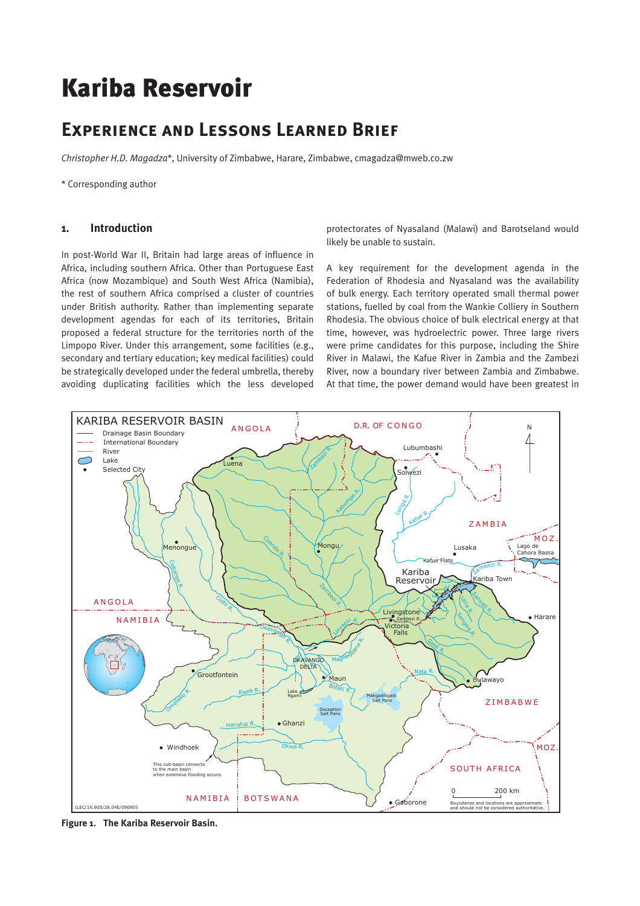# Kariba Reservoir

# **Experience and Lessons Learned Brief**

*Christopher H.D. Magadza*\*, University of Zimbabwe, Harare, Zimbabwe, cmagadza@mweb.co.zw

\* Corresponding author

#### **1. Introduction**

In post-World War II, Britain had large areas of influence in Africa, including southern Africa. Other than Portuguese East Africa (now Mozambique) and South West Africa (Namibia), the rest of southern Africa comprised a cluster of countries under British authority. Rather than implementing separate development agendas for each of its territories, Britain proposed a federal structure for the territories north of the Limpopo River. Under this arrangement, some facilities (e.g., secondary and tertiary education; key medical facilities) could be strategically developed under the federal umbrella, thereby avoiding duplicating facilities which the less developed

protectorates of Nyasaland (Malawi) and Barotseland would likely be unable to sustain.

A key requirement for the development agenda in the Federation of Rhodesia and Nyasaland was the availability of bulk energy. Each territory operated small thermal power stations, fuelled by coal from the Wankie Colliery in Southern Rhodesia. The obvious choice of bulk electrical energy at that time, however, was hydroelectric power. Three large rivers were prime candidates for this purpose, including the Shire River in Malawi, the Kafue River in Zambia and the Zambezi River, now a boundary river between Zambia and Zimbabwe. At that time, the power demand would have been greatest in



**Figure 1. The Kariba Reservoir Basin.**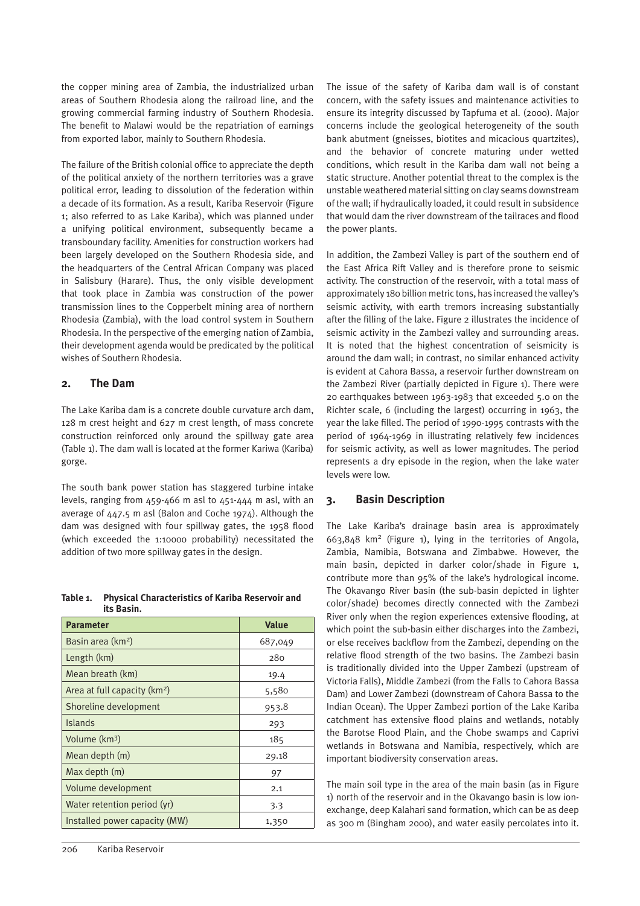the copper mining area of Zambia, the industrialized urban areas of Southern Rhodesia along the railroad line, and the growing commercial farming industry of Southern Rhodesia. The benefit to Malawi would be the repatriation of earnings from exported labor, mainly to Southern Rhodesia.

The failure of the British colonial office to appreciate the depth of the political anxiety of the northern territories was a grave political error, leading to dissolution of the federation within a decade of its formation. As a result, Kariba Reservoir (Figure 1; also referred to as Lake Kariba), which was planned under a unifying political environment, subsequently became a transboundary facility. Amenities for construction workers had been largely developed on the Southern Rhodesia side, and the headquarters of the Central African Company was placed in Salisbury (Harare). Thus, the only visible development that took place in Zambia was construction of the power transmission lines to the Copperbelt mining area of northern Rhodesia (Zambia), with the load control system in Southern Rhodesia. In the perspective of the emerging nation of Zambia, their development agenda would be predicated by the political wishes of Southern Rhodesia.

# **2. The Dam**

The Lake Kariba dam is a concrete double curvature arch dam, 128 m crest height and 627 m crest length, of mass concrete construction reinforced only around the spillway gate area (Table 1). The dam wall is located at the former Kariwa (Kariba) gorge.

The south bank power station has staggered turbine intake levels, ranging from 459-466 m asl to 451-444 m asl, with an average of  $447.5$  m asl (Balon and Coche 1974). Although the dam was designed with four spillway gates, the 1958 flood (which exceeded the 1:10000 probability) necessitated the addition of two more spillway gates in the design.

| Table 1. Physical Characteristics of Kariba Reservoir and |
|-----------------------------------------------------------|
| its Basin.                                                |

| <b>Parameter</b>               | <b>Value</b> |  |  |
|--------------------------------|--------------|--|--|
| Basin area (km <sup>2</sup> )  | 687,049      |  |  |
| Length (km)                    | 280          |  |  |
| Mean breath (km)               | 19.4         |  |  |
| Area at full capacity $(km^2)$ | 5,580        |  |  |
| Shoreline development          | 953.8        |  |  |
| <b>Islands</b>                 | 293          |  |  |
| Volume (km <sup>3</sup> )      | 185          |  |  |
| Mean depth (m)                 | 29.18        |  |  |
| Max depth (m)                  | 97           |  |  |
| Volume development             | 2.1          |  |  |
| Water retention period (yr)    | 3.3          |  |  |
| Installed power capacity (MW)  | 1,350        |  |  |

The issue of the safety of Kariba dam wall is of constant concern, with the safety issues and maintenance activities to ensure its integrity discussed by Tapfuma et al. (2000). Major concerns include the geological heterogeneity of the south bank abutment (gneisses, biotites and micacious quartzites), and the behavior of concrete maturing under wetted conditions, which result in the Kariba dam wall not being a static structure. Another potential threat to the complex is the unstable weathered material sitting on clay seams downstream of the wall; if hydraulically loaded, it could result in subsidence that would dam the river downstream of the tailraces and flood the power plants.

In addition, the Zambezi Valley is part of the southern end of the East Africa Rift Valley and is therefore prone to seismic activity. The construction of the reservoir, with a total mass of approximately 180 billion metric tons, has increased the valley's seismic activity, with earth tremors increasing substantially after the filling of the lake. Figure 2 illustrates the incidence of seismic activity in the Zambezi valley and surrounding areas. It is noted that the highest concentration of seismicity is around the dam wall; in contrast, no similar enhanced activity is evident at Cahora Bassa, a reservoir further downstream on the Zambezi River (partially depicted in Figure 1). There were 20 earthquakes between 1963-1983 that exceeded 5.0 on the Richter scale, 6 (including the largest) occurring in 1963, the year the lake filled. The period of 1990-1995 contrasts with the period of 1964-1969 in illustrating relatively few incidences for seismic activity, as well as lower magnitudes. The period represents a dry episode in the region, when the lake water levels were low.

# **3. Basin Description**

The Lake Kariba's drainage basin area is approximately 663,848 km2 (Figure 1), lying in the territories of Angola, Zambia, Namibia, Botswana and Zimbabwe. However, the main basin, depicted in darker color/shade in Figure 1, contribute more than 95% of the lake's hydrological income. The Okavango River basin (the sub-basin depicted in lighter color/shade) becomes directly connected with the Zambezi River only when the region experiences extensive flooding, at which point the sub-basin either discharges into the Zambezi, or else receives backflow from the Zambezi, depending on the relative flood strength of the two basins. The Zambezi basin is traditionally divided into the Upper Zambezi (upstream of Victoria Falls), Middle Zambezi (from the Falls to Cahora Bassa Dam) and Lower Zambezi (downstream of Cahora Bassa to the Indian Ocean). The Upper Zambezi portion of the Lake Kariba catchment has extensive flood plains and wetlands, notably the Barotse Flood Plain, and the Chobe swamps and Caprivi wetlands in Botswana and Namibia, respectively, which are important biodiversity conservation areas.

The main soil type in the area of the main basin (as in Figure 1) north of the reservoir and in the Okavango basin is low ionexchange, deep Kalahari sand formation, which can be as deep as 300 m (Bingham 2000), and water easily percolates into it.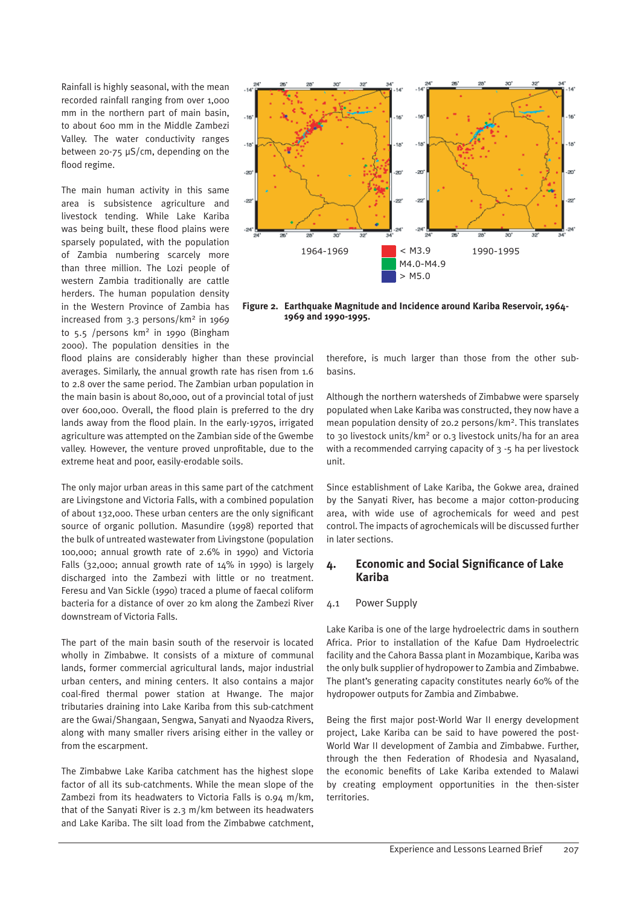Rainfall is highly seasonal, with the mean recorded rainfall ranging from over 1,000 mm in the northern part of main basin, to about 600 mm in the Middle Zambezi Valley. The water conductivity ranges between 20-75 µS/cm, depending on the flood regime.

The main human activity in this same area is subsistence agriculture and livestock tending. While Lake Kariba was being built, these flood plains were sparsely populated, with the population of Zambia numbering scarcely more than three million. The Lozi people of western Zambia traditionally are cattle herders. The human population density in the Western Province of Zambia has increased from 3.3 persons/km2 in 1969 to 5.5 /persons km2 in 1990 (Bingham 2000). The population densities in the

flood plains are considerably higher than these provincial averages. Similarly, the annual growth rate has risen from 1.6 to 2.8 over the same period. The Zambian urban population in the main basin is about 80,000, out of a provincial total of just over 600,000. Overall, the flood plain is preferred to the dry lands away from the flood plain. In the early-1970s, irrigated agriculture was attempted on the Zambian side of the Gwembe valley. However, the venture proved unprofitable, due to the extreme heat and poor, easily-erodable soils.

The only major urban areas in this same part of the catchment are Livingstone and Victoria Falls, with a combined population of about 132,000. These urban centers are the only significant source of organic pollution. Masundire (1998) reported that the bulk of untreated wastewater from Livingstone (population 100,000; annual growth rate of 2.6% in 1990) and Victoria Falls (32,000; annual growth rate of 14% in 1990) is largely discharged into the Zambezi with little or no treatment. Feresu and Van Sickle (1990) traced a plume of faecal coliform bacteria for a distance of over 20 km along the Zambezi River downstream of Victoria Falls.

The part of the main basin south of the reservoir is located wholly in Zimbabwe. It consists of a mixture of communal lands, former commercial agricultural lands, major industrial urban centers, and mining centers. It also contains a major coal-fired thermal power station at Hwange. The major tributaries draining into Lake Kariba from this sub-catchment are the Gwai/Shangaan, Sengwa, Sanyati and Nyaodza Rivers, along with many smaller rivers arising either in the valley or from the escarpment.

The Zimbabwe Lake Kariba catchment has the highest slope factor of all its sub-catchments. While the mean slope of the Zambezi from its headwaters to Victoria Falls is 0.94 m/km, that of the Sanyati River is 2.3 m/km between its headwaters and Lake Kariba. The silt load from the Zimbabwe catchment,



**Figure 2. Earthquake Magnitude and Incidence around Kariba Reservoir, 1964- 1969 and 1990-1995.**

therefore, is much larger than those from the other subbasins.

Although the northern watersheds of Zimbabwe were sparsely populated when Lake Kariba was constructed, they now have a mean population density of 20.2 persons/km2. This translates to 30 livestock units/km<sup>2</sup> or 0.3 livestock units/ha for an area with a recommended carrying capacity of 3 -5 ha per livestock unit.

Since establishment of Lake Kariba, the Gokwe area, drained by the Sanyati River, has become a major cotton-producing area, with wide use of agrochemicals for weed and pest control. The impacts of agrochemicals will be discussed further in later sections.

# **4. Economic and Social Significance of Lake Kariba**

#### 4.1 Power Supply

Lake Kariba is one of the large hydroelectric dams in southern Africa. Prior to installation of the Kafue Dam Hydroelectric facility and the Cahora Bassa plant in Mozambique, Kariba was the only bulk supplier of hydropower to Zambia and Zimbabwe. The plant's generating capacity constitutes nearly 60% of the hydropower outputs for Zambia and Zimbabwe.

Being the first major post-World War II energy development project, Lake Kariba can be said to have powered the post-World War II development of Zambia and Zimbabwe. Further, through the then Federation of Rhodesia and Nyasaland, the economic benefits of Lake Kariba extended to Malawi by creating employment opportunities in the then-sister territories.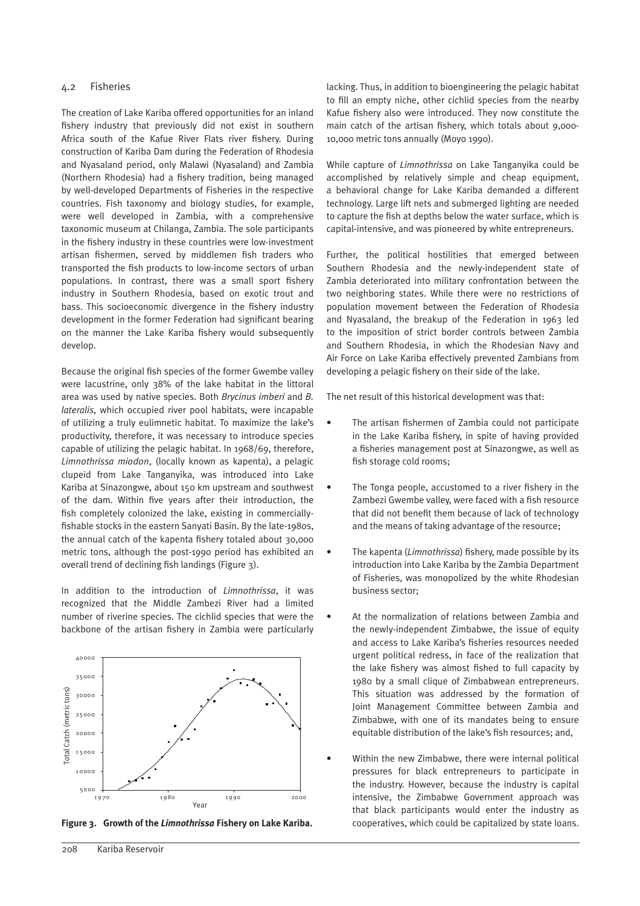#### 4.2 Fisheries

The creation of Lake Kariba offered opportunities for an inland fishery industry that previously did not exist in southern Africa south of the Kafue River Flats river fishery. During construction of Kariba Dam during the Federation of Rhodesia and Nyasaland period, only Malawi (Nyasaland) and Zambia (Northern Rhodesia) had a fishery tradition, being managed by well-developed Departments of Fisheries in the respective countries. Fish taxonomy and biology studies, for example, were well developed in Zambia, with a comprehensive taxonomic museum at Chilanga, Zambia. The sole participants in the fishery industry in these countries were low-investment artisan fishermen, served by middlemen fish traders who transported the fish products to low-income sectors of urban populations. In contrast, there was a small sport fishery industry in Southern Rhodesia, based on exotic trout and bass. This socioeconomic divergence in the fishery industry development in the former Federation had significant bearing on the manner the Lake Kariba fishery would subsequently develop.

Because the original fish species of the former Gwembe valley were lacustrine, only 38% of the lake habitat in the littoral area was used by native species. Both *Brycinus imberi* and *B. lateralis*, which occupied river pool habitats, were incapable of utilizing a truly eulimnetic habitat. To maximize the lake's productivity, therefore, it was necessary to introduce species capable of utilizing the pelagic habitat. In 1968/69, therefore, *Limnothrissa miodon*, (locally known as kapenta), a pelagic clupeid from Lake Tanganyika, was introduced into Lake Kariba at Sinazongwe, about 150 km upstream and southwest of the dam. Within five years after their introduction, the fish completely colonized the lake, existing in commerciallyfishable stocks in the eastern Sanyati Basin. By the late-1980s, the annual catch of the kapenta fishery totaled about 30,000 metric tons, although the post-1990 period has exhibited an overall trend of declining fish landings (Figure 3).

In addition to the introduction of *Limnothrissa*, it was recognized that the Middle Zambezi River had a limited number of riverine species. The cichlid species that were the backbone of the artisan fishery in Zambia were particularly



lacking. Thus, in addition to bioengineering the pelagic habitat to fill an empty niche, other cichlid species from the nearby Kafue fishery also were introduced. They now constitute the main catch of the artisan fishery, which totals about 9,000- 10,000 metric tons annually (Moyo 1990).

While capture of *Limnothrissa* on Lake Tanganyika could be accomplished by relatively simple and cheap equipment, a behavioral change for Lake Kariba demanded a different technology. Large lift nets and submerged lighting are needed to capture the fish at depths below the water surface, which is capital-intensive, and was pioneered by white entrepreneurs.

Further, the political hostilities that emerged between Southern Rhodesia and the newly-independent state of Zambia deteriorated into military confrontation between the two neighboring states. While there were no restrictions of population movement between the Federation of Rhodesia and Nyasaland, the breakup of the Federation in 1963 led to the imposition of strict border controls between Zambia and Southern Rhodesia, in which the Rhodesian Navy and Air Force on Lake Kariba effectively prevented Zambians from developing a pelagic fishery on their side of the lake.

The net result of this historical development was that:

- The artisan fishermen of Zambia could not participate in the Lake Kariba fishery, in spite of having provided a fisheries management post at Sinazongwe, as well as fish storage cold rooms;
- The Tonga people, accustomed to a river fishery in the Zambezi Gwembe valley, were faced with a fish resource that did not benefit them because of lack of technology and the means of taking advantage of the resource;
- The kapenta (*Limnothrissa*) fishery, made possible by its introduction into Lake Kariba by the Zambia Department of Fisheries, was monopolized by the white Rhodesian business sector;
- At the normalization of relations between Zambia and the newly-independent Zimbabwe, the issue of equity and access to Lake Kariba's fisheries resources needed urgent political redress, in face of the realization that the lake fishery was almost fished to full capacity by 1980 by a small clique of Zimbabwean entrepreneurs. This situation was addressed by the formation of Joint Management Committee between Zambia and Zimbabwe, with one of its mandates being to ensure equitable distribution of the lake's fish resources; and,
- Within the new Zimbabwe, there were internal political pressures for black entrepreneurs to participate in the industry. However, because the industry is capital intensive, the Zimbabwe Government approach was that black participants would enter the industry as **Figure 3. Growth of the** *Limnothrissa* **Fishery on Lake Kariba.** cooperatives, which could be capitalized by state loans.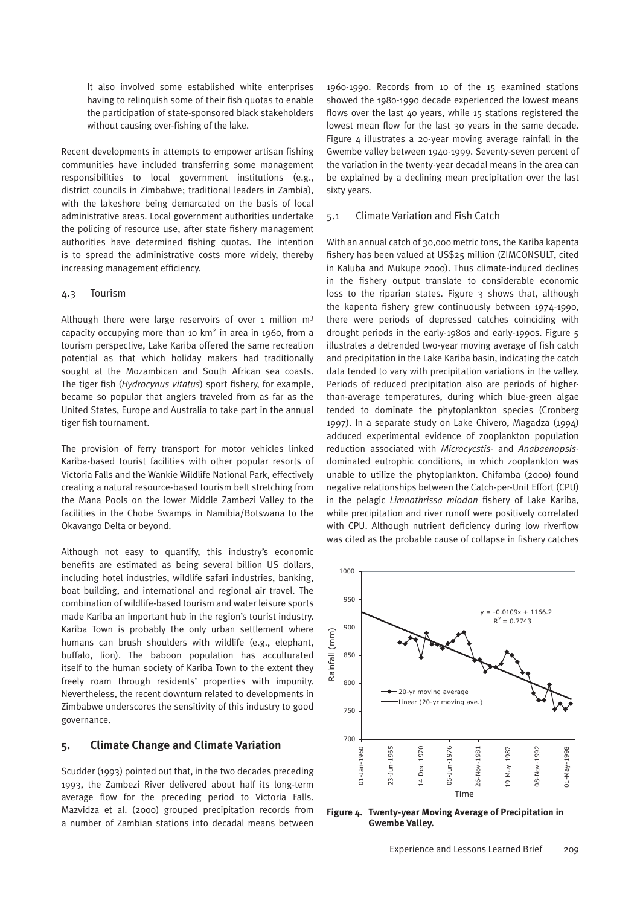It also involved some established white enterprises having to relinquish some of their fish quotas to enable the participation of state-sponsored black stakeholders without causing over-fishing of the lake.

Recent developments in attempts to empower artisan fishing communities have included transferring some management responsibilities to local government institutions (e.g., district councils in Zimbabwe; traditional leaders in Zambia), with the lakeshore being demarcated on the basis of local administrative areas. Local government authorities undertake the policing of resource use, after state fishery management authorities have determined fishing quotas. The intention is to spread the administrative costs more widely, thereby increasing management efficiency.

#### 4.3 Tourism

Although there were large reservoirs of over 1 million  $m<sup>3</sup>$ capacity occupying more than 10 km2 in area in 1960, from a tourism perspective, Lake Kariba offered the same recreation potential as that which holiday makers had traditionally sought at the Mozambican and South African sea coasts. The tiger fish (*Hydrocynus vitatus*) sport fishery, for example, became so popular that anglers traveled from as far as the United States, Europe and Australia to take part in the annual tiger fish tournament.

The provision of ferry transport for motor vehicles linked Kariba-based tourist facilities with other popular resorts of Victoria Falls and the Wankie Wildlife National Park, effectively creating a natural resource-based tourism belt stretching from the Mana Pools on the lower Middle Zambezi Valley to the facilities in the Chobe Swamps in Namibia/Botswana to the Okavango Delta or beyond.

Although not easy to quantify, this industry's economic benefits are estimated as being several billion US dollars, including hotel industries, wildlife safari industries, banking, boat building, and international and regional air travel. The combination of wildlife-based tourism and water leisure sports made Kariba an important hub in the region's tourist industry. Kariba Town is probably the only urban settlement where humans can brush shoulders with wildlife (e.g., elephant, buffalo, lion). The baboon population has acculturated itself to the human society of Kariba Town to the extent they freely roam through residents' properties with impunity. Nevertheless, the recent downturn related to developments in Zimbabwe underscores the sensitivity of this industry to good governance.

# **5. Climate Change and Climate Variation**

Scudder (1993) pointed out that, in the two decades preceding 1993, the Zambezi River delivered about half its long-term average flow for the preceding period to Victoria Falls. Mazvidza et al. (2000) grouped precipitation records from a number of Zambian stations into decadal means between

1960-1990. Records from 10 of the 15 examined stations showed the 1980-1990 decade experienced the lowest means flows over the last 40 years, while 15 stations registered the lowest mean flow for the last 30 years in the same decade. Figure  $\mu$  illustrates a 20-year moving average rainfall in the Gwembe valley between 1940-1999. Seventy-seven percent of the variation in the twenty-year decadal means in the area can be explained by a declining mean precipitation over the last sixty years.

#### 5.1 Climate Variation and Fish Catch

With an annual catch of 30,000 metric tons, the Kariba kapenta fishery has been valued at US\$25 million (ZIMCONSULT, cited in Kaluba and Mukupe 2000). Thus climate-induced declines in the fishery output translate to considerable economic loss to the riparian states. Figure 3 shows that, although the kapenta fishery grew continuously between 1974-1990, there were periods of depressed catches coinciding with drought periods in the early-1980s and early-1990s. Figure 5 illustrates a detrended two-year moving average of fish catch and precipitation in the Lake Kariba basin, indicating the catch data tended to vary with precipitation variations in the valley. Periods of reduced precipitation also are periods of higherthan-average temperatures, during which blue-green algae tended to dominate the phytoplankton species (Cronberg 1997). In a separate study on Lake Chivero, Magadza (1994) adduced experimental evidence of zooplankton population reduction associated with *Microcycstis*- and *Anabaenopsis*dominated eutrophic conditions, in which zooplankton was unable to utilize the phytoplankton. Chifamba (2000) found negative relationships between the Catch-per-Unit Effort (CPU) in the pelagic *Limnothrissa miodon* fishery of Lake Kariba, while precipitation and river runoff were positively correlated with CPU. Although nutrient deficiency during low riverflow was cited as the probable cause of collapse in fishery catches



**Figure 4. Twenty-year Moving Average of Precipitation in Gwembe Valley.**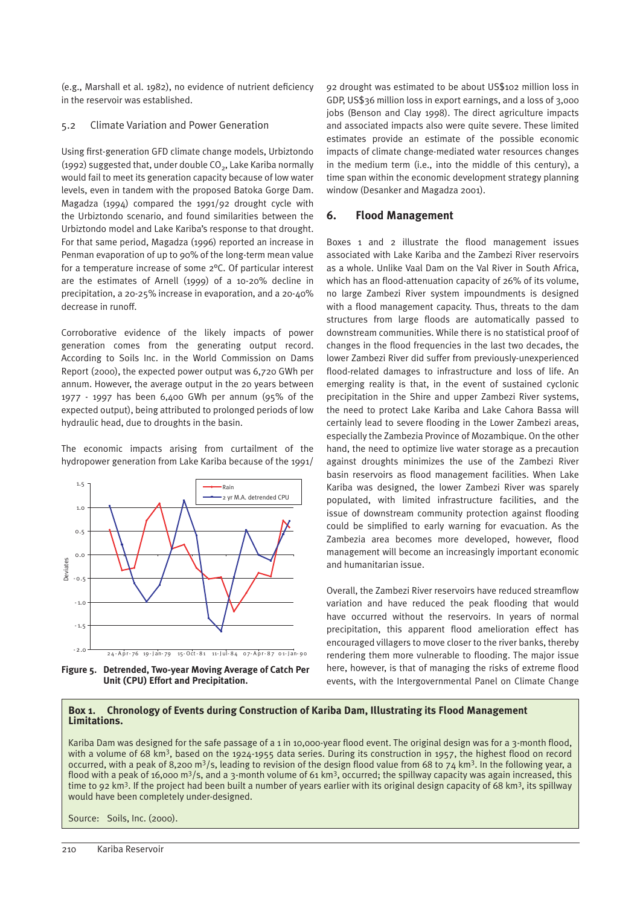(e.g., Marshall et al. 1982), no evidence of nutrient deficiency in the reservoir was established.

#### 5.2 Climate Variation and Power Generation

Using first-generation GFD climate change models, Urbiztondo (1992) suggested that, under double  $CO<sub>2</sub>$ , Lake Kariba normally would fail to meet its generation capacity because of low water levels, even in tandem with the proposed Batoka Gorge Dam. Magadza (1994) compared the 1991/92 drought cycle with the Urbiztondo scenario, and found similarities between the Urbiztondo model and Lake Kariba's response to that drought. For that same period, Magadza (1996) reported an increase in Penman evaporation of up to 90% of the long-term mean value for a temperature increase of some 2°C. Of particular interest are the estimates of Arnell (1999) of a 10-20% decline in precipitation, a 20-25% increase in evaporation, and a 20-40% decrease in runoff.

Corroborative evidence of the likely impacts of power generation comes from the generating output record. According to Soils Inc. in the World Commission on Dams Report (2000), the expected power output was 6,720 GWh per annum. However, the average output in the 20 years between 1977 - 1997 has been 6,400 GWh per annum (95% of the expected output), being attributed to prolonged periods of low hydraulic head, due to droughts in the basin.

The economic impacts arising from curtailment of the hydropower generation from Lake Kariba because of the 1991/



**Figure 5. Detrended, Two-year Moving Average of Catch Per Unit (CPU) Effort and Precipitation.**

92 drought was estimated to be about US\$102 million loss in GDP, US\$36 million loss in export earnings, and a loss of 3,000 jobs (Benson and Clay 1998). The direct agriculture impacts and associated impacts also were quite severe. These limited estimates provide an estimate of the possible economic impacts of climate change-mediated water resources changes in the medium term (i.e., into the middle of this century), a time span within the economic development strategy planning window (Desanker and Magadza 2001).

# **6. Flood Management**

Boxes 1 and 2 illustrate the flood management issues associated with Lake Kariba and the Zambezi River reservoirs as a whole. Unlike Vaal Dam on the Val River in South Africa, which has an flood-attenuation capacity of 26% of its volume, no large Zambezi River system impoundments is designed with a flood management capacity. Thus, threats to the dam structures from large floods are automatically passed to downstream communities. While there is no statistical proof of changes in the flood frequencies in the last two decades, the lower Zambezi River did suffer from previously-unexperienced flood-related damages to infrastructure and loss of life. An emerging reality is that, in the event of sustained cyclonic precipitation in the Shire and upper Zambezi River systems, the need to protect Lake Kariba and Lake Cahora Bassa will certainly lead to severe flooding in the Lower Zambezi areas, especially the Zambezia Province of Mozambique. On the other hand, the need to optimize live water storage as a precaution against droughts minimizes the use of the Zambezi River basin reservoirs as flood management facilities. When Lake Kariba was designed, the lower Zambezi River was sparely populated, with limited infrastructure facilities, and the issue of downstream community protection against flooding could be simplified to early warning for evacuation. As the Zambezia area becomes more developed, however, flood management will become an increasingly important economic and humanitarian issue.

Overall, the Zambezi River reservoirs have reduced streamflow variation and have reduced the peak flooding that would have occurred without the reservoirs. In years of normal precipitation, this apparent flood amelioration effect has encouraged villagers to move closer to the river banks, thereby rendering them more vulnerable to flooding. The major issue here, however, is that of managing the risks of extreme flood events, with the Intergovernmental Panel on Climate Change

#### **Box 1. Chronology of Events during Construction of Kariba Dam, Illustrating its Flood Management Limitations.**

Kariba Dam was designed for the safe passage of a 1 in 10,000-year flood event. The original design was for a 3-month flood, with a volume of 68 km<sup>3</sup>, based on the 1924-1955 data series. During its construction in 1957, the highest flood on record occurred, with a peak of 8,200 m<sup>3</sup>/s, leading to revision of the design flood value from 68 to 74 km<sup>3</sup>. In the following year, a flood with a peak of 16,000 m<sup>3</sup>/s, and a 3-month volume of 61 km<sup>3</sup>, occurred; the spillway capacity was again increased, this time to 92 km<sup>3</sup>. If the project had been built a number of years earlier with its original design capacity of 68 km<sup>3</sup>, its spillway would have been completely under-designed.

Source: Soils, Inc. (2000).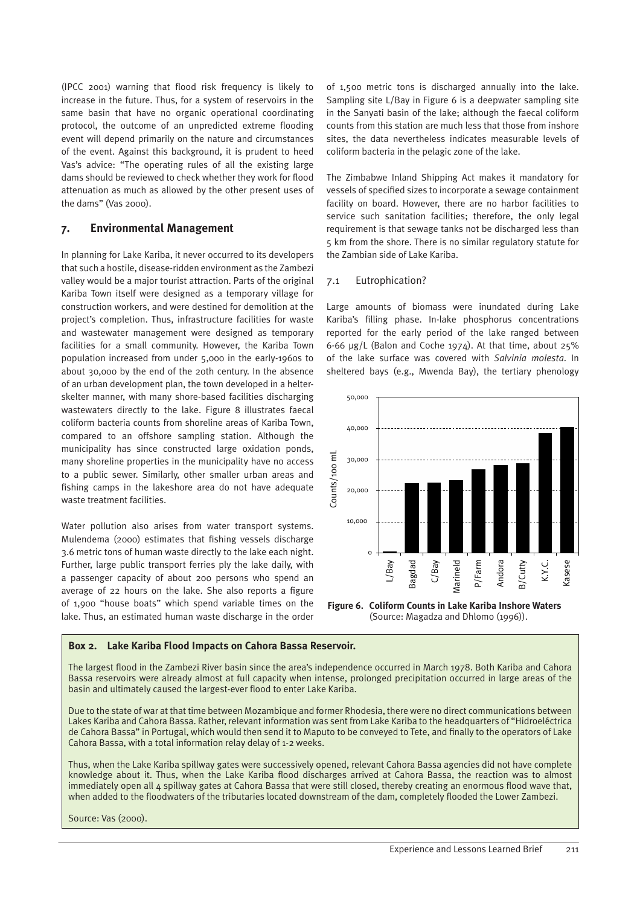(IPCC 2001) warning that flood risk frequency is likely to increase in the future. Thus, for a system of reservoirs in the same basin that have no organic operational coordinating protocol, the outcome of an unpredicted extreme flooding event will depend primarily on the nature and circumstances of the event. Against this background, it is prudent to heed Vas's advice: "The operating rules of all the existing large dams should be reviewed to check whether they work for flood attenuation as much as allowed by the other present uses of the dams" (Vas 2000).

#### **7. Environmental Management**

In planning for Lake Kariba, it never occurred to its developers that such a hostile, disease-ridden environment as the Zambezi valley would be a major tourist attraction. Parts of the original Kariba Town itself were designed as a temporary village for construction workers, and were destined for demolition at the project's completion. Thus, infrastructure facilities for waste and wastewater management were designed as temporary facilities for a small community. However, the Kariba Town population increased from under 5,000 in the early-1960s to about 30,000 by the end of the 20th century. In the absence of an urban development plan, the town developed in a helterskelter manner, with many shore-based facilities discharging wastewaters directly to the lake. Figure 8 illustrates faecal coliform bacteria counts from shoreline areas of Kariba Town, compared to an offshore sampling station. Although the municipality has since constructed large oxidation ponds, many shoreline properties in the municipality have no access to a public sewer. Similarly, other smaller urban areas and fishing camps in the lakeshore area do not have adequate waste treatment facilities.

Water pollution also arises from water transport systems. Mulendema (2000) estimates that fishing vessels discharge 3.6 metric tons of human waste directly to the lake each night. Further, large public transport ferries ply the lake daily, with a passenger capacity of about 200 persons who spend an average of 22 hours on the lake. She also reports a figure of 1,900 "house boats" which spend variable times on the lake. Thus, an estimated human waste discharge in the order of 1,500 metric tons is discharged annually into the lake. Sampling site L/Bay in Figure 6 is a deepwater sampling site in the Sanyati basin of the lake; although the faecal coliform counts from this station are much less that those from inshore sites, the data nevertheless indicates measurable levels of coliform bacteria in the pelagic zone of the lake.

The Zimbabwe Inland Shipping Act makes it mandatory for vessels of specified sizes to incorporate a sewage containment facility on board. However, there are no harbor facilities to service such sanitation facilities; therefore, the only legal requirement is that sewage tanks not be discharged less than 5 km from the shore. There is no similar regulatory statute for the Zambian side of Lake Kariba.

#### 7.1 Eutrophication?

Large amounts of biomass were inundated during Lake Kariba's filling phase. In-lake phosphorus concentrations reported for the early period of the lake ranged between 6-66 µg/L (Balon and Coche 1974). At that time, about 25% of the lake surface was covered with *Salvinia molesta*. In sheltered bays (e.g., Mwenda Bay), the tertiary phenology



**Figure 6. Coliform Counts in Lake Kariba Inshore Waters**  (Source: Magadza and Dhlomo (1996)).

#### **Box 2. Lake Kariba Flood Impacts on Cahora Bassa Reservoir.**

The largest flood in the Zambezi River basin since the area's independence occurred in March 1978. Both Kariba and Cahora Bassa reservoirs were already almost at full capacity when intense, prolonged precipitation occurred in large areas of the basin and ultimately caused the largest-ever flood to enter Lake Kariba.

Due to the state of war at that time between Mozambique and former Rhodesia, there were no direct communications between Lakes Kariba and Cahora Bassa. Rather, relevant information was sent from Lake Kariba to the headquarters of "Hidroeléctrica de Cahora Bassa" in Portugal, which would then send it to Maputo to be conveyed to Tete, and finally to the operators of Lake Cahora Bassa, with a total information relay delay of 1-2 weeks.

Thus, when the Lake Kariba spillway gates were successively opened, relevant Cahora Bassa agencies did not have complete knowledge about it. Thus, when the Lake Kariba flood discharges arrived at Cahora Bassa, the reaction was to almost immediately open all 4 spillway gates at Cahora Bassa that were still closed, thereby creating an enormous flood wave that, when added to the floodwaters of the tributaries located downstream of the dam, completely flooded the Lower Zambezi.

Source: Vas (2000).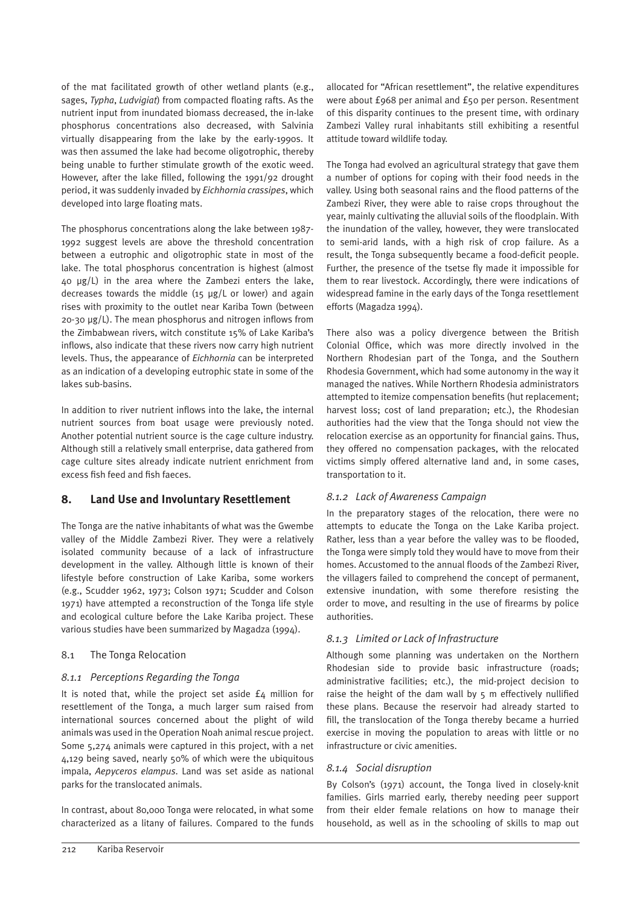of the mat facilitated growth of other wetland plants (e.g., sages, *Typha*, *Ludvigiat*) from compacted floating rafts. As the nutrient input from inundated biomass decreased, the in-lake phosphorus concentrations also decreased, with Salvinia virtually disappearing from the lake by the early-1990s. It was then assumed the lake had become oligotrophic, thereby being unable to further stimulate growth of the exotic weed. However, after the lake filled, following the 1991/92 drought period, it was suddenly invaded by *Eichhornia crassipes*, which developed into large floating mats.

The phosphorus concentrations along the lake between 1987- 1992 suggest levels are above the threshold concentration between a eutrophic and oligotrophic state in most of the lake. The total phosphorus concentration is highest (almost 40 µg/L) in the area where the Zambezi enters the lake, decreases towards the middle (15 µg/L or lower) and again rises with proximity to the outlet near Kariba Town (between  $20-30 \mu g/L$ ). The mean phosphorus and nitrogen inflows from the Zimbabwean rivers, witch constitute 15% of Lake Kariba's inflows, also indicate that these rivers now carry high nutrient levels. Thus, the appearance of *Eichhornia* can be interpreted as an indication of a developing eutrophic state in some of the lakes sub-basins.

In addition to river nutrient inflows into the lake, the internal nutrient sources from boat usage were previously noted. Another potential nutrient source is the cage culture industry. Although still a relatively small enterprise, data gathered from cage culture sites already indicate nutrient enrichment from excess fish feed and fish faeces.

# **8. Land Use and Involuntary Resettlement**

The Tonga are the native inhabitants of what was the Gwembe valley of the Middle Zambezi River. They were a relatively isolated community because of a lack of infrastructure development in the valley. Although little is known of their lifestyle before construction of Lake Kariba, some workers (e.g., Scudder 1962, 1973; Colson 1971; Scudder and Colson 1971) have attempted a reconstruction of the Tonga life style and ecological culture before the Lake Kariba project. These various studies have been summarized by Magadza (1994).

# 8.1 The Tonga Relocation

# *8.1.1 Perceptions Regarding the Tonga*

It is noted that, while the project set aside £4 million for resettlement of the Tonga, a much larger sum raised from international sources concerned about the plight of wild animals was used in the Operation Noah animal rescue project. Some 5,274 animals were captured in this project, with a net 4,129 being saved, nearly 50% of which were the ubiquitous impala, *Aepyceros elampus*. Land was set aside as national parks for the translocated animals.

In contrast, about 80,000 Tonga were relocated, in what some characterized as a litany of failures. Compared to the funds allocated for "African resettlement", the relative expenditures were about £968 per animal and £50 per person. Resentment of this disparity continues to the present time, with ordinary Zambezi Valley rural inhabitants still exhibiting a resentful attitude toward wildlife today.

The Tonga had evolved an agricultural strategy that gave them a number of options for coping with their food needs in the valley. Using both seasonal rains and the flood patterns of the Zambezi River, they were able to raise crops throughout the year, mainly cultivating the alluvial soils of the floodplain. With the inundation of the valley, however, they were translocated to semi-arid lands, with a high risk of crop failure. As a result, the Tonga subsequently became a food-deficit people. Further, the presence of the tsetse fly made it impossible for them to rear livestock. Accordingly, there were indications of widespread famine in the early days of the Tonga resettlement efforts (Magadza 1994).

There also was a policy divergence between the British Colonial Office, which was more directly involved in the Northern Rhodesian part of the Tonga, and the Southern Rhodesia Government, which had some autonomy in the way it managed the natives. While Northern Rhodesia administrators attempted to itemize compensation benefits (hut replacement; harvest loss; cost of land preparation; etc.), the Rhodesian authorities had the view that the Tonga should not view the relocation exercise as an opportunity for financial gains. Thus, they offered no compensation packages, with the relocated victims simply offered alternative land and, in some cases, transportation to it.

# *8.1.2 Lack of Awareness Campaign*

In the preparatory stages of the relocation, there were no attempts to educate the Tonga on the Lake Kariba project. Rather, less than a year before the valley was to be flooded, the Tonga were simply told they would have to move from their homes. Accustomed to the annual floods of the Zambezi River, the villagers failed to comprehend the concept of permanent, extensive inundation, with some therefore resisting the order to move, and resulting in the use of firearms by police authorities.

# *8.1.3 Limited or Lack of Infrastructure*

Although some planning was undertaken on the Northern Rhodesian side to provide basic infrastructure (roads; administrative facilities; etc.), the mid-project decision to raise the height of the dam wall by  $5$  m effectively nullified these plans. Because the reservoir had already started to fill, the translocation of the Tonga thereby became a hurried exercise in moving the population to areas with little or no infrastructure or civic amenities.

# *8.1.4 Social disruption*

By Colson's (1971) account, the Tonga lived in closely-knit families. Girls married early, thereby needing peer support from their elder female relations on how to manage their household, as well as in the schooling of skills to map out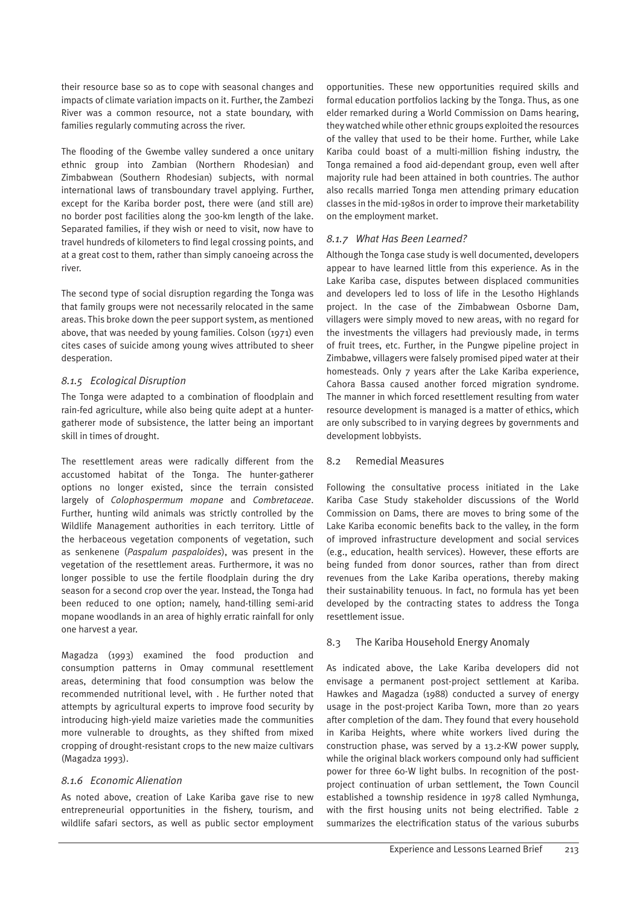their resource base so as to cope with seasonal changes and impacts of climate variation impacts on it. Further, the Zambezi River was a common resource, not a state boundary, with families regularly commuting across the river.

The flooding of the Gwembe valley sundered a once unitary ethnic group into Zambian (Northern Rhodesian) and Zimbabwean (Southern Rhodesian) subjects, with normal international laws of transboundary travel applying. Further, except for the Kariba border post, there were (and still are) no border post facilities along the 300-km length of the lake. Separated families, if they wish or need to visit, now have to travel hundreds of kilometers to find legal crossing points, and at a great cost to them, rather than simply canoeing across the river.

The second type of social disruption regarding the Tonga was that family groups were not necessarily relocated in the same areas. This broke down the peer support system, as mentioned above, that was needed by young families. Colson (1971) even cites cases of suicide among young wives attributed to sheer desperation.

#### *8.1.5 Ecological Disruption*

The Tonga were adapted to a combination of floodplain and rain-fed agriculture, while also being quite adept at a huntergatherer mode of subsistence, the latter being an important skill in times of drought.

The resettlement areas were radically different from the accustomed habitat of the Tonga. The hunter-gatherer options no longer existed, since the terrain consisted largely of *Colophospermum mopane* and *Combretaceae*. Further, hunting wild animals was strictly controlled by the Wildlife Management authorities in each territory. Little of the herbaceous vegetation components of vegetation, such as senkenene (*Paspalum paspaloides*), was present in the vegetation of the resettlement areas. Furthermore, it was no longer possible to use the fertile floodplain during the dry season for a second crop over the year. Instead, the Tonga had been reduced to one option; namely, hand-tilling semi-arid mopane woodlands in an area of highly erratic rainfall for only one harvest a year.

Magadza (1993) examined the food production and consumption patterns in Omay communal resettlement areas, determining that food consumption was below the recommended nutritional level, with . He further noted that attempts by agricultural experts to improve food security by introducing high-yield maize varieties made the communities more vulnerable to droughts, as they shifted from mixed cropping of drought-resistant crops to the new maize cultivars (Magadza 1993).

# *8.1.6 Economic Alienation*

As noted above, creation of Lake Kariba gave rise to new entrepreneurial opportunities in the fishery, tourism, and wildlife safari sectors, as well as public sector employment

opportunities. These new opportunities required skills and formal education portfolios lacking by the Tonga. Thus, as one elder remarked during a World Commission on Dams hearing, they watched while other ethnic groups exploited the resources of the valley that used to be their home. Further, while Lake Kariba could boast of a multi-million fishing industry, the Tonga remained a food aid-dependant group, even well after majority rule had been attained in both countries. The author also recalls married Tonga men attending primary education classes in the mid-1980s in order to improve their marketability on the employment market.

#### *8.1.7 What Has Been Learned?*

Although the Tonga case study is well documented, developers appear to have learned little from this experience. As in the Lake Kariba case, disputes between displaced communities and developers led to loss of life in the Lesotho Highlands project. In the case of the Zimbabwean Osborne Dam, villagers were simply moved to new areas, with no regard for the investments the villagers had previously made, in terms of fruit trees, etc. Further, in the Pungwe pipeline project in Zimbabwe, villagers were falsely promised piped water at their homesteads. Only 7 years after the Lake Kariba experience, Cahora Bassa caused another forced migration syndrome. The manner in which forced resettlement resulting from water resource development is managed is a matter of ethics, which are only subscribed to in varying degrees by governments and development lobbyists.

#### 8.2 Remedial Measures

Following the consultative process initiated in the Lake Kariba Case Study stakeholder discussions of the World Commission on Dams, there are moves to bring some of the Lake Kariba economic benefits back to the valley, in the form of improved infrastructure development and social services (e.g., education, health services). However, these efforts are being funded from donor sources, rather than from direct revenues from the Lake Kariba operations, thereby making their sustainability tenuous. In fact, no formula has yet been developed by the contracting states to address the Tonga resettlement issue.

#### 8.3 The Kariba Household Energy Anomaly

As indicated above, the Lake Kariba developers did not envisage a permanent post-project settlement at Kariba. Hawkes and Magadza (1988) conducted a survey of energy usage in the post-project Kariba Town, more than 20 years after completion of the dam. They found that every household in Kariba Heights, where white workers lived during the construction phase, was served by a 13.2-KW power supply, while the original black workers compound only had sufficient power for three 60-W light bulbs. In recognition of the postproject continuation of urban settlement, the Town Council established a township residence in 1978 called Nymhunga, with the first housing units not being electrified. Table 2 summarizes the electrification status of the various suburbs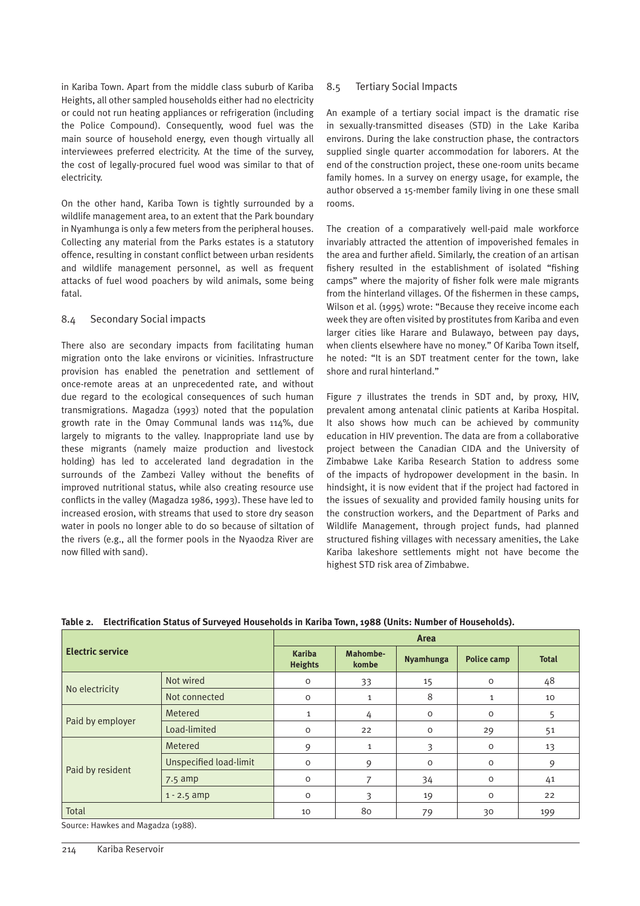in Kariba Town. Apart from the middle class suburb of Kariba Heights, all other sampled households either had no electricity or could not run heating appliances or refrigeration (including the Police Compound). Consequently, wood fuel was the main source of household energy, even though virtually all interviewees preferred electricity. At the time of the survey, the cost of legally-procured fuel wood was similar to that of electricity.

On the other hand, Kariba Town is tightly surrounded by a wildlife management area, to an extent that the Park boundary in Nyamhunga is only a few meters from the peripheral houses. Collecting any material from the Parks estates is a statutory offence, resulting in constant conflict between urban residents and wildlife management personnel, as well as frequent attacks of fuel wood poachers by wild animals, some being fatal.

#### 8.4 Secondary Social impacts

There also are secondary impacts from facilitating human migration onto the lake environs or vicinities. Infrastructure provision has enabled the penetration and settlement of once-remote areas at an unprecedented rate, and without due regard to the ecological consequences of such human transmigrations. Magadza (1993) noted that the population growth rate in the Omay Communal lands was 114%, due largely to migrants to the valley. Inappropriate land use by these migrants (namely maize production and livestock holding) has led to accelerated land degradation in the surrounds of the Zambezi Valley without the benefits of improved nutritional status, while also creating resource use conflicts in the valley (Magadza 1986, 1993). These have led to increased erosion, with streams that used to store dry season water in pools no longer able to do so because of siltation of the rivers (e.g., all the former pools in the Nyaodza River are now filled with sand).

# 8.5 Tertiary Social Impacts

An example of a tertiary social impact is the dramatic rise in sexually-transmitted diseases (STD) in the Lake Kariba environs. During the lake construction phase, the contractors supplied single quarter accommodation for laborers. At the end of the construction project, these one-room units became family homes. In a survey on energy usage, for example, the author observed a 15-member family living in one these small rooms.

The creation of a comparatively well-paid male workforce invariably attracted the attention of impoverished females in the area and further afield. Similarly, the creation of an artisan fishery resulted in the establishment of isolated "fishing camps" where the majority of fisher folk were male migrants from the hinterland villages. Of the fishermen in these camps, Wilson et al. (1995) wrote: "Because they receive income each week they are often visited by prostitutes from Kariba and even larger cities like Harare and Bulawayo, between pay days, when clients elsewhere have no money." Of Kariba Town itself, he noted: "It is an SDT treatment center for the town, lake shore and rural hinterland."

Figure 7 illustrates the trends in SDT and, by proxy, HIV, prevalent among antenatal clinic patients at Kariba Hospital. It also shows how much can be achieved by community education in HIV prevention. The data are from a collaborative project between the Canadian CIDA and the University of Zimbabwe Lake Kariba Research Station to address some of the impacts of hydropower development in the basin. In hindsight, it is now evident that if the project had factored in the issues of sexuality and provided family housing units for the construction workers, and the Department of Parks and Wildlife Management, through project funds, had planned structured fishing villages with necessary amenities, the Lake Kariba lakeshore settlements might not have become the highest STD risk area of Zimbabwe.

| <b>Electric service</b> |                               | Area                            |                   |           |                    |              |  |  |  |
|-------------------------|-------------------------------|---------------------------------|-------------------|-----------|--------------------|--------------|--|--|--|
|                         |                               | <b>Kariba</b><br><b>Heights</b> | Mahombe-<br>kombe | Nyamhunga | <b>Police camp</b> | <b>Total</b> |  |  |  |
| No electricity          | Not wired                     | 0                               | 33                | 15        | $\circ$            | 48           |  |  |  |
|                         | Not connected                 | $\circ$                         | $\mathbf{1}$      | 8         |                    | 10           |  |  |  |
|                         | Metered                       | $\mathbf 1$                     | 4                 | $\circ$   | $\circ$            | 5            |  |  |  |
| Paid by employer        | Load-limited                  | $\circ$                         | 22                | $\circ$   | 29                 | 51           |  |  |  |
|                         | Metered                       | 9                               | $\mathbf{1}$      | 3         | $\circ$            | 13           |  |  |  |
|                         | <b>Unspecified load-limit</b> | $\Omega$                        | 9                 | 0         | $\circ$            | 9            |  |  |  |
| Paid by resident        | $7.5$ amp                     | $\circ$                         |                   | 34        | $\circ$            | 41           |  |  |  |
|                         | $1 - 2.5$ amp                 | $\circ$                         | 3                 | 19        | $\circ$            | 22           |  |  |  |
| Total                   |                               | 10                              | 80                | 79        | 30                 | 199          |  |  |  |

**Table 2. Electrification Status of Surveyed Households in Kariba Town, 1988 (Units: Number of Households).**

Source: Hawkes and Magadza (1988).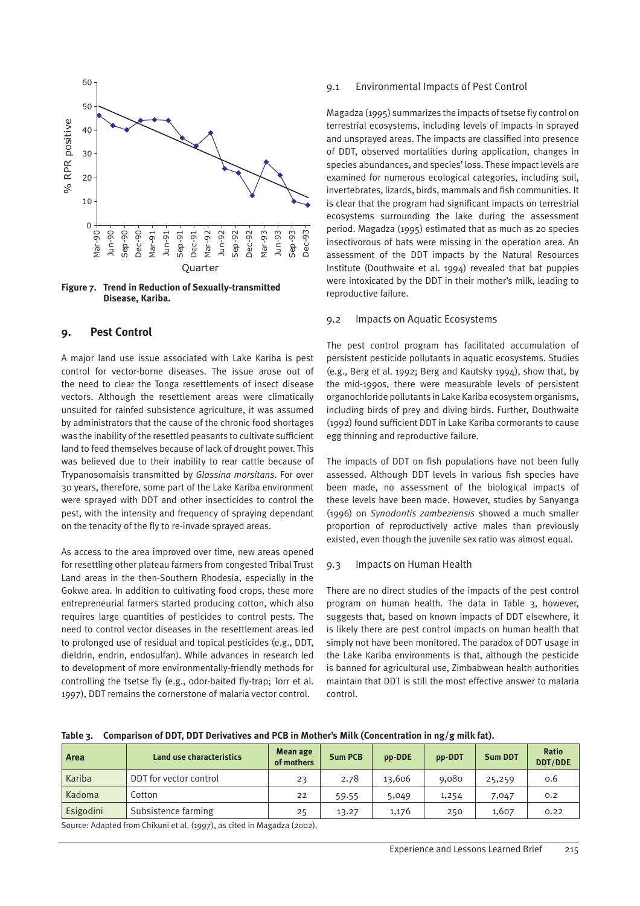

**Figure 7. Trend in Reduction of Sexually-transmitted Disease, Kariba.**

#### **9. Pest Control**

A major land use issue associated with Lake Kariba is pest control for vector-borne diseases. The issue arose out of the need to clear the Tonga resettlements of insect disease vectors. Although the resettlement areas were climatically unsuited for rainfed subsistence agriculture, it was assumed by administrators that the cause of the chronic food shortages was the inability of the resettled peasants to cultivate sufficient land to feed themselves because of lack of drought power. This was believed due to their inability to rear cattle because of Trypanosomaisis transmitted by *Glossina morsitans*. For over 30 years, therefore, some part of the Lake Kariba environment were sprayed with DDT and other insecticides to control the pest, with the intensity and frequency of spraying dependant on the tenacity of the fly to re-invade sprayed areas.

As access to the area improved over time, new areas opened for resettling other plateau farmers from congested Tribal Trust Land areas in the then-Southern Rhodesia, especially in the Gokwe area. In addition to cultivating food crops, these more entrepreneurial farmers started producing cotton, which also requires large quantities of pesticides to control pests. The need to control vector diseases in the resettlement areas led to prolonged use of residual and topical pesticides (e.g., DDT, dieldrin, endrin, endosulfan). While advances in research led to development of more environmentally-friendly methods for controlling the tsetse fly (e.g., odor-baited fly-trap; Torr et al. 1997), DDT remains the cornerstone of malaria vector control.

#### 9.1 Environmental Impacts of Pest Control

Magadza (1995) summarizes the impacts of tsetse fly control on terrestrial ecosystems, including levels of impacts in sprayed and unsprayed areas. The impacts are classified into presence of DDT, observed mortalities during application, changes in species abundances, and species' loss. These impact levels are examined for numerous ecological categories, including soil, invertebrates, lizards, birds, mammals and fish communities. It is clear that the program had significant impacts on terrestrial ecosystems surrounding the lake during the assessment period. Magadza (1995) estimated that as much as 20 species insectivorous of bats were missing in the operation area. An assessment of the DDT impacts by the Natural Resources Institute (Douthwaite et al. 1994) revealed that bat puppies were intoxicated by the DDT in their mother's milk, leading to reproductive failure.

#### 9.2 Impacts on Aquatic Ecosystems

The pest control program has facilitated accumulation of persistent pesticide pollutants in aquatic ecosystems. Studies (e.g., Berg et al. 1992; Berg and Kautsky 1994), show that, by the mid-1990s, there were measurable levels of persistent organochloride pollutants in Lake Kariba ecosystem organisms, including birds of prey and diving birds. Further, Douthwaite (1992) found sufficient DDT in Lake Kariba cormorants to cause egg thinning and reproductive failure.

The impacts of DDT on fish populations have not been fully assessed. Although DDT levels in various fish species have been made, no assessment of the biological impacts of these levels have been made. However, studies by Sanyanga (1996) on *Synodontis zambeziensis* showed a much smaller proportion of reproductively active males than previously existed, even though the juvenile sex ratio was almost equal.

#### 9.3 Impacts on Human Health

There are no direct studies of the impacts of the pest control program on human health. The data in Table 3, however, suggests that, based on known impacts of DDT elsewhere, it is likely there are pest control impacts on human health that simply not have been monitored. The paradox of DDT usage in the Lake Kariba environments is that, although the pesticide is banned for agricultural use, Zimbabwean health authorities maintain that DDT is still the most effective answer to malaria control.

| <b>Area</b> | Land use characteristics | Mean age<br>of mothers | <b>Sum PCB</b> | pp-DDE | pp-DDT | <b>Sum DDT</b> | <b>Ratio</b><br><b>DDT/DDE</b> |
|-------------|--------------------------|------------------------|----------------|--------|--------|----------------|--------------------------------|
| Kariba      | DDT for vector control   | 23                     | 2.78           | 13,606 | 9,080  | 25,259         | 0.6                            |
| Kadoma      | Cotton                   | 22                     | 59.55          | 5,049  | 1,254  | 7,047          | 0.2                            |
| Esigodini   | Subsistence farming      | 25                     | 13.27          | 1,176  | 250    | 1,607          | 0.22                           |

**Table 3. Comparison of DDT, DDT Derivatives and PCB in Mother's Milk (Concentration in ng/g milk fat).**

Source: Adapted from Chikuni et al. (1997), as cited in Magadza (2002).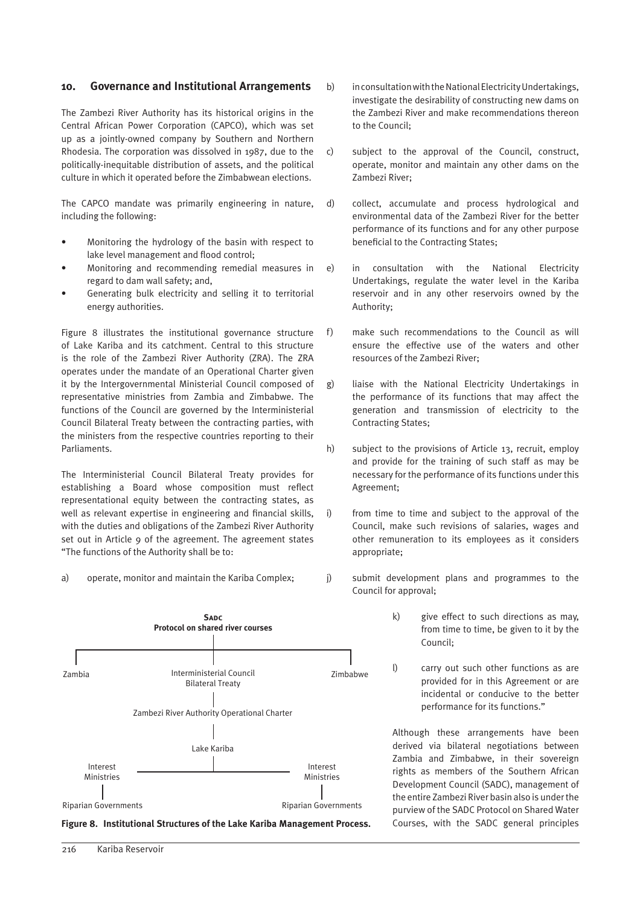#### **10. Governance and Institutional Arrangements**

The Zambezi River Authority has its historical origins in the Central African Power Corporation (CAPCO), which was set up as a jointly-owned company by Southern and Northern Rhodesia. The corporation was dissolved in 1987, due to the politically-inequitable distribution of assets, and the political culture in which it operated before the Zimbabwean elections.

The CAPCO mandate was primarily engineering in nature, including the following:

- Monitoring the hydrology of the basin with respect to lake level management and flood control;
- Monitoring and recommending remedial measures in regard to dam wall safety; and,
- Generating bulk electricity and selling it to territorial energy authorities.

Figure 8 illustrates the institutional governance structure of Lake Kariba and its catchment. Central to this structure is the role of the Zambezi River Authority (ZRA). The ZRA operates under the mandate of an Operational Charter given it by the Intergovernmental Ministerial Council composed of representative ministries from Zambia and Zimbabwe. The functions of the Council are governed by the Interministerial Council Bilateral Treaty between the contracting parties, with the ministers from the respective countries reporting to their Parliaments.

The Interministerial Council Bilateral Treaty provides for establishing a Board whose composition must reflect representational equity between the contracting states, as well as relevant expertise in engineering and financial skills, with the duties and obligations of the Zambezi River Authority set out in Article 9 of the agreement. The agreement states "The functions of the Authority shall be to:

a) operate, monitor and maintain the Kariba Complex;





- b) in consultation with the National Electricity Undertakings, investigate the desirability of constructing new dams on the Zambezi River and make recommendations thereon to the Council;
- c) subject to the approval of the Council, construct, operate, monitor and maintain any other dams on the Zambezi River;
- d) collect, accumulate and process hydrological and environmental data of the Zambezi River for the better performance of its functions and for any other purpose beneficial to the Contracting States;
- e) in consultation with the National Electricity Undertakings, regulate the water level in the Kariba reservoir and in any other reservoirs owned by the Authority;
- f) make such recommendations to the Council as will ensure the effective use of the waters and other resources of the Zambezi River;
- g) liaise with the National Electricity Undertakings in the performance of its functions that may affect the generation and transmission of electricity to the Contracting States;
- h) subject to the provisions of Article 13, recruit, employ and provide for the training of such staff as may be necessary for the performance of its functions under this Agreement;
- i) from time to time and subject to the approval of the Council, make such revisions of salaries, wages and other remuneration to its employees as it considers appropriate;
- j) submit development plans and programmes to the Council for approval;
	- k) give effect to such directions as may, from time to time, be given to it by the Council;
	- l) carry out such other functions as are provided for in this Agreement or are incidental or conducive to the better performance for its functions."

Although these arrangements have been derived via bilateral negotiations between Zambia and Zimbabwe, in their sovereign rights as members of the Southern African Development Council (SADC), management of the entire Zambezi River basin also is under the purview of the SADC Protocol on Shared Water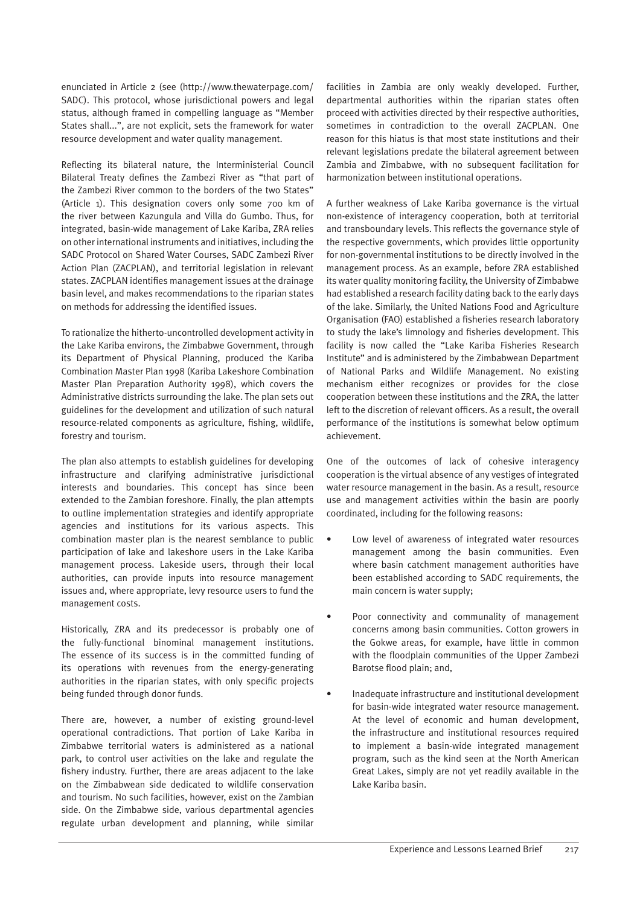enunciated in Article 2 (see (http://www.thewaterpage.com/ SADC). This protocol, whose jurisdictional powers and legal status, although framed in compelling language as "Member States shall...", are not explicit, sets the framework for water resource development and water quality management.

Reflecting its bilateral nature, the Interministerial Council Bilateral Treaty defines the Zambezi River as "that part of the Zambezi River common to the borders of the two States" (Article 1). This designation covers only some 700 km of the river between Kazungula and Villa do Gumbo. Thus, for integrated, basin-wide management of Lake Kariba, ZRA relies on other international instruments and initiatives, including the SADC Protocol on Shared Water Courses, SADC Zambezi River Action Plan (ZACPLAN), and territorial legislation in relevant states. ZACPLAN identifies management issues at the drainage basin level, and makes recommendations to the riparian states on methods for addressing the identified issues.

To rationalize the hitherto-uncontrolled development activity in the Lake Kariba environs, the Zimbabwe Government, through its Department of Physical Planning, produced the Kariba Combination Master Plan 1998 (Kariba Lakeshore Combination Master Plan Preparation Authority 1998), which covers the Administrative districts surrounding the lake. The plan sets out guidelines for the development and utilization of such natural resource-related components as agriculture, fishing, wildlife, forestry and tourism.

The plan also attempts to establish guidelines for developing infrastructure and clarifying administrative jurisdictional interests and boundaries. This concept has since been extended to the Zambian foreshore. Finally, the plan attempts to outline implementation strategies and identify appropriate agencies and institutions for its various aspects. This combination master plan is the nearest semblance to public participation of lake and lakeshore users in the Lake Kariba management process. Lakeside users, through their local authorities, can provide inputs into resource management issues and, where appropriate, levy resource users to fund the management costs.

Historically, ZRA and its predecessor is probably one of the fully-functional binominal management institutions. The essence of its success is in the committed funding of its operations with revenues from the energy-generating authorities in the riparian states, with only specific projects being funded through donor funds.

There are, however, a number of existing ground-level operational contradictions. That portion of Lake Kariba in Zimbabwe territorial waters is administered as a national park, to control user activities on the lake and regulate the fishery industry. Further, there are areas adjacent to the lake on the Zimbabwean side dedicated to wildlife conservation and tourism. No such facilities, however, exist on the Zambian side. On the Zimbabwe side, various departmental agencies regulate urban development and planning, while similar facilities in Zambia are only weakly developed. Further, departmental authorities within the riparian states often proceed with activities directed by their respective authorities, sometimes in contradiction to the overall ZACPLAN. One reason for this hiatus is that most state institutions and their relevant legislations predate the bilateral agreement between Zambia and Zimbabwe, with no subsequent facilitation for harmonization between institutional operations.

A further weakness of Lake Kariba governance is the virtual non-existence of interagency cooperation, both at territorial and transboundary levels. This reflects the governance style of the respective governments, which provides little opportunity for non-governmental institutions to be directly involved in the management process. As an example, before ZRA established its water quality monitoring facility, the University of Zimbabwe had established a research facility dating back to the early days of the lake. Similarly, the United Nations Food and Agriculture Organisation (FAO) established a fisheries research laboratory to study the lake's limnology and fisheries development. This facility is now called the "Lake Kariba Fisheries Research Institute" and is administered by the Zimbabwean Department of National Parks and Wildlife Management. No existing mechanism either recognizes or provides for the close cooperation between these institutions and the ZRA, the latter left to the discretion of relevant officers. As a result, the overall performance of the institutions is somewhat below optimum achievement.

One of the outcomes of lack of cohesive interagency cooperation is the virtual absence of any vestiges of integrated water resource management in the basin. As a result, resource use and management activities within the basin are poorly coordinated, including for the following reasons:

- Low level of awareness of integrated water resources management among the basin communities. Even where basin catchment management authorities have been established according to SADC requirements, the main concern is water supply;
- Poor connectivity and communality of management concerns among basin communities. Cotton growers in the Gokwe areas, for example, have little in common with the floodplain communities of the Upper Zambezi Barotse flood plain; and,
- Inadequate infrastructure and institutional development for basin-wide integrated water resource management. At the level of economic and human development, the infrastructure and institutional resources required to implement a basin-wide integrated management program, such as the kind seen at the North American Great Lakes, simply are not yet readily available in the Lake Kariba basin.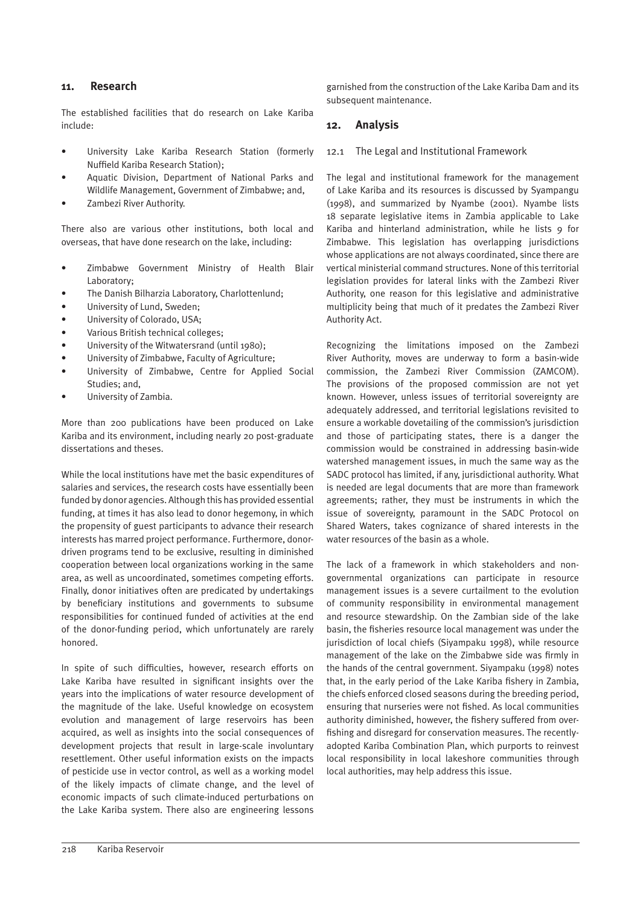#### **11. Research**

The established facilities that do research on Lake Kariba include:

- University Lake Kariba Research Station (formerly Nuffield Kariba Research Station);
- Aquatic Division, Department of National Parks and Wildlife Management, Government of Zimbabwe; and,
- Zambezi River Authority.

There also are various other institutions, both local and overseas, that have done research on the lake, including:

- Zimbabwe Government Ministry of Health Blair Laboratory;
- The Danish Bilharzia Laboratory, Charlottenlund;
- University of Lund, Sweden;
- University of Colorado, USA;
- Various British technical colleges;
- University of the Witwatersrand (until 1980);
- University of Zimbabwe, Faculty of Agriculture;
- University of Zimbabwe, Centre for Applied Social Studies; and,
- University of Zambia.

More than 200 publications have been produced on Lake Kariba and its environment, including nearly 20 post-graduate dissertations and theses.

While the local institutions have met the basic expenditures of salaries and services, the research costs have essentially been funded by donor agencies. Although this has provided essential funding, at times it has also lead to donor hegemony, in which the propensity of guest participants to advance their research interests has marred project performance. Furthermore, donordriven programs tend to be exclusive, resulting in diminished cooperation between local organizations working in the same area, as well as uncoordinated, sometimes competing efforts. Finally, donor initiatives often are predicated by undertakings by beneficiary institutions and governments to subsume responsibilities for continued funded of activities at the end of the donor-funding period, which unfortunately are rarely honored.

In spite of such difficulties, however, research efforts on Lake Kariba have resulted in significant insights over the years into the implications of water resource development of the magnitude of the lake. Useful knowledge on ecosystem evolution and management of large reservoirs has been acquired, as well as insights into the social consequences of development projects that result in large-scale involuntary resettlement. Other useful information exists on the impacts of pesticide use in vector control, as well as a working model of the likely impacts of climate change, and the level of economic impacts of such climate-induced perturbations on the Lake Kariba system. There also are engineering lessons garnished from the construction of the Lake Kariba Dam and its subsequent maintenance.

#### **12. Analysis**

#### 12.1 The Legal and Institutional Framework

The legal and institutional framework for the management of Lake Kariba and its resources is discussed by Syampangu (1998), and summarized by Nyambe (2001). Nyambe lists 18 separate legislative items in Zambia applicable to Lake Kariba and hinterland administration, while he lists 9 for Zimbabwe. This legislation has overlapping jurisdictions whose applications are not always coordinated, since there are vertical ministerial command structures. None of this territorial legislation provides for lateral links with the Zambezi River Authority, one reason for this legislative and administrative multiplicity being that much of it predates the Zambezi River Authority Act.

Recognizing the limitations imposed on the Zambezi River Authority, moves are underway to form a basin-wide commission, the Zambezi River Commission (ZAMCOM). The provisions of the proposed commission are not yet known. However, unless issues of territorial sovereignty are adequately addressed, and territorial legislations revisited to ensure a workable dovetailing of the commission's jurisdiction and those of participating states, there is a danger the commission would be constrained in addressing basin-wide watershed management issues, in much the same way as the SADC protocol has limited, if any, jurisdictional authority. What is needed are legal documents that are more than framework agreements; rather, they must be instruments in which the issue of sovereignty, paramount in the SADC Protocol on Shared Waters, takes cognizance of shared interests in the water resources of the basin as a whole.

The lack of a framework in which stakeholders and nongovernmental organizations can participate in resource management issues is a severe curtailment to the evolution of community responsibility in environmental management and resource stewardship. On the Zambian side of the lake basin, the fisheries resource local management was under the jurisdiction of local chiefs (Siyampaku 1998), while resource management of the lake on the Zimbabwe side was firmly in the hands of the central government. Siyampaku (1998) notes that, in the early period of the Lake Kariba fishery in Zambia, the chiefs enforced closed seasons during the breeding period, ensuring that nurseries were not fished. As local communities authority diminished, however, the fishery suffered from overfishing and disregard for conservation measures. The recentlyadopted Kariba Combination Plan, which purports to reinvest local responsibility in local lakeshore communities through local authorities, may help address this issue.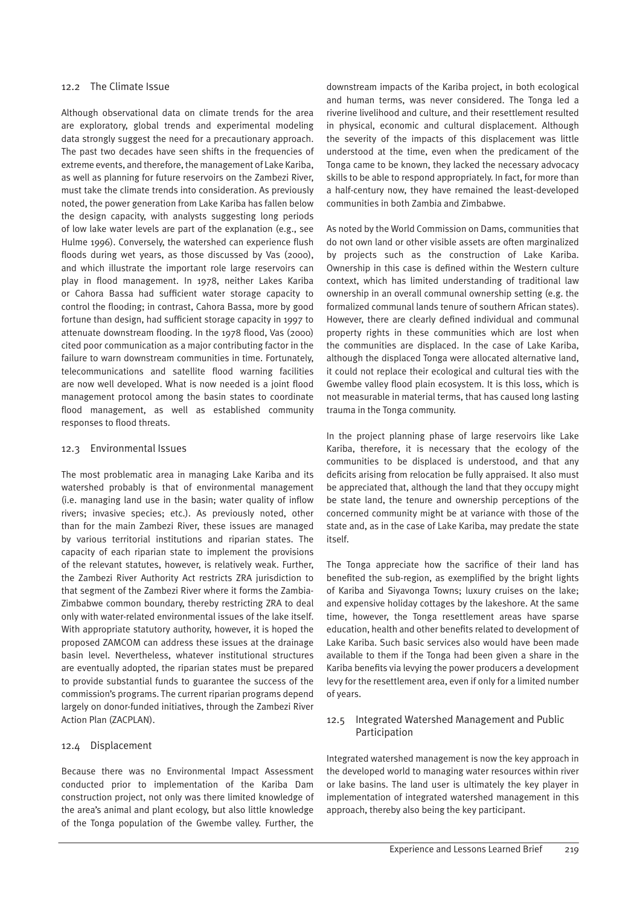#### 12.2 The Climate Issue

Although observational data on climate trends for the area are exploratory, global trends and experimental modeling data strongly suggest the need for a precautionary approach. The past two decades have seen shifts in the frequencies of extreme events, and therefore, the management of Lake Kariba, as well as planning for future reservoirs on the Zambezi River, must take the climate trends into consideration. As previously noted, the power generation from Lake Kariba has fallen below the design capacity, with analysts suggesting long periods of low lake water levels are part of the explanation (e.g., see Hulme 1996). Conversely, the watershed can experience flush floods during wet years, as those discussed by Vas (2000), and which illustrate the important role large reservoirs can play in flood management. In 1978, neither Lakes Kariba or Cahora Bassa had sufficient water storage capacity to control the flooding; in contrast, Cahora Bassa, more by good fortune than design, had sufficient storage capacity in 1997 to attenuate downstream flooding. In the 1978 flood, Vas (2000) cited poor communication as a major contributing factor in the failure to warn downstream communities in time. Fortunately, telecommunications and satellite flood warning facilities are now well developed. What is now needed is a joint flood management protocol among the basin states to coordinate flood management, as well as established community responses to flood threats.

#### 12.3 Environmental Issues

The most problematic area in managing Lake Kariba and its watershed probably is that of environmental management (i.e. managing land use in the basin; water quality of inflow rivers; invasive species; etc.). As previously noted, other than for the main Zambezi River, these issues are managed by various territorial institutions and riparian states. The capacity of each riparian state to implement the provisions of the relevant statutes, however, is relatively weak. Further, the Zambezi River Authority Act restricts ZRA jurisdiction to that segment of the Zambezi River where it forms the Zambia-Zimbabwe common boundary, thereby restricting ZRA to deal only with water-related environmental issues of the lake itself. With appropriate statutory authority, however, it is hoped the proposed ZAMCOM can address these issues at the drainage basin level. Nevertheless, whatever institutional structures are eventually adopted, the riparian states must be prepared to provide substantial funds to guarantee the success of the commission's programs. The current riparian programs depend largely on donor-funded initiatives, through the Zambezi River Action Plan (ZACPLAN).

#### 12.4 Displacement

Because there was no Environmental Impact Assessment conducted prior to implementation of the Kariba Dam construction project, not only was there limited knowledge of the area's animal and plant ecology, but also little knowledge of the Tonga population of the Gwembe valley. Further, the

downstream impacts of the Kariba project, in both ecological and human terms, was never considered. The Tonga led a riverine livelihood and culture, and their resettlement resulted in physical, economic and cultural displacement. Although the severity of the impacts of this displacement was little understood at the time, even when the predicament of the Tonga came to be known, they lacked the necessary advocacy skills to be able to respond appropriately. In fact, for more than a half-century now, they have remained the least-developed communities in both Zambia and Zimbabwe.

As noted by the World Commission on Dams, communities that do not own land or other visible assets are often marginalized by projects such as the construction of Lake Kariba. Ownership in this case is defined within the Western culture context, which has limited understanding of traditional law ownership in an overall communal ownership setting (e.g. the formalized communal lands tenure of southern African states). However, there are clearly defined individual and communal property rights in these communities which are lost when the communities are displaced. In the case of Lake Kariba, although the displaced Tonga were allocated alternative land, it could not replace their ecological and cultural ties with the Gwembe valley flood plain ecosystem. It is this loss, which is not measurable in material terms, that has caused long lasting trauma in the Tonga community.

In the project planning phase of large reservoirs like Lake Kariba, therefore, it is necessary that the ecology of the communities to be displaced is understood, and that any deficits arising from relocation be fully appraised. It also must be appreciated that, although the land that they occupy might be state land, the tenure and ownership perceptions of the concerned community might be at variance with those of the state and, as in the case of Lake Kariba, may predate the state itself.

The Tonga appreciate how the sacrifice of their land has benefited the sub-region, as exemplified by the bright lights of Kariba and Siyavonga Towns; luxury cruises on the lake; and expensive holiday cottages by the lakeshore. At the same time, however, the Tonga resettlement areas have sparse education, health and other benefits related to development of Lake Kariba. Such basic services also would have been made available to them if the Tonga had been given a share in the Kariba benefits via levying the power producers a development levy for the resettlement area, even if only for a limited number of years.

#### 12.5 Integrated Watershed Management and Public Participation

Integrated watershed management is now the key approach in the developed world to managing water resources within river or lake basins. The land user is ultimately the key player in implementation of integrated watershed management in this approach, thereby also being the key participant.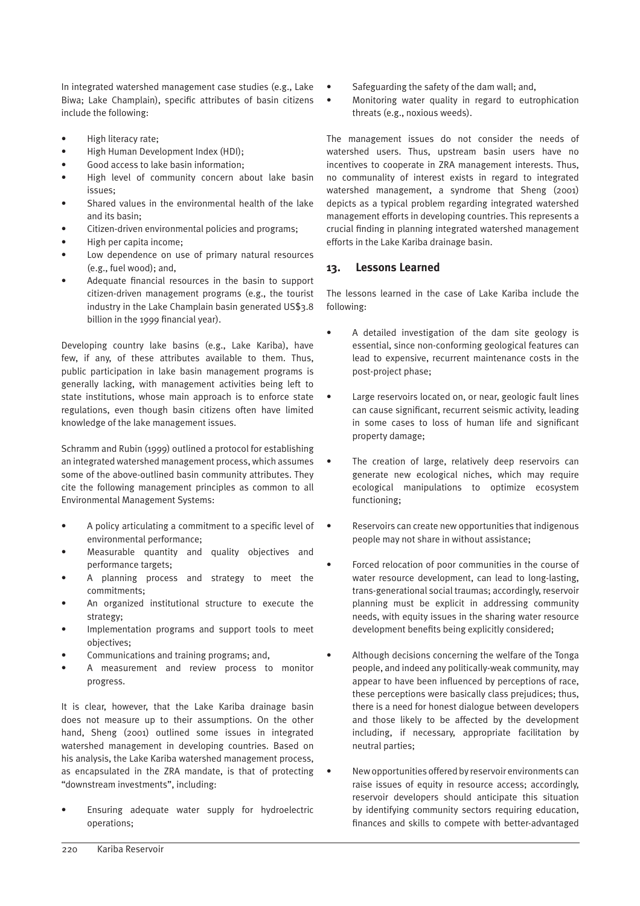In integrated watershed management case studies (e.g., Lake Biwa; Lake Champlain), specific attributes of basin citizens include the following:

- High literacy rate;
- High Human Development Index (HDI);
- Good access to lake basin information;
- High level of community concern about lake basin issues;
- Shared values in the environmental health of the lake and its basin;
- Citizen-driven environmental policies and programs;
- High per capita income;
- Low dependence on use of primary natural resources (e.g., fuel wood); and,
- Adequate financial resources in the basin to support citizen-driven management programs (e.g., the tourist industry in the Lake Champlain basin generated US\$3.8 billion in the 1999 financial year).

Developing country lake basins (e.g., Lake Kariba), have few, if any, of these attributes available to them. Thus, public participation in lake basin management programs is generally lacking, with management activities being left to state institutions, whose main approach is to enforce state regulations, even though basin citizens often have limited knowledge of the lake management issues.

Schramm and Rubin (1999) outlined a protocol for establishing an integrated watershed management process, which assumes some of the above-outlined basin community attributes. They cite the following management principles as common to all Environmental Management Systems:

- A policy articulating a commitment to a specific level of environmental performance;
- Measurable quantity and quality objectives and performance targets;
- A planning process and strategy to meet the commitments;
- An organized institutional structure to execute the strategy;
- Implementation programs and support tools to meet objectives;
- Communications and training programs; and,
- A measurement and review process to monitor progress.

It is clear, however, that the Lake Kariba drainage basin does not measure up to their assumptions. On the other hand, Sheng (2001) outlined some issues in integrated watershed management in developing countries. Based on his analysis, the Lake Kariba watershed management process, as encapsulated in the ZRA mandate, is that of protecting "downstream investments", including:

Ensuring adequate water supply for hydroelectric operations;

- Safeguarding the safety of the dam wall; and,
- Monitoring water quality in regard to eutrophication threats (e.g., noxious weeds).

The management issues do not consider the needs of watershed users. Thus, upstream basin users have no incentives to cooperate in ZRA management interests. Thus, no communality of interest exists in regard to integrated watershed management, a syndrome that Sheng (2001) depicts as a typical problem regarding integrated watershed management efforts in developing countries. This represents a crucial finding in planning integrated watershed management efforts in the Lake Kariba drainage basin.

# **13. Lessons Learned**

The lessons learned in the case of Lake Kariba include the following:

- A detailed investigation of the dam site geology is essential, since non-conforming geological features can lead to expensive, recurrent maintenance costs in the post-project phase;
- Large reservoirs located on, or near, geologic fault lines can cause significant, recurrent seismic activity, leading in some cases to loss of human life and significant property damage;
- The creation of large, relatively deep reservoirs can generate new ecological niches, which may require ecological manipulations to optimize ecosystem functioning;
- Reservoirs can create new opportunities that indigenous people may not share in without assistance;
- Forced relocation of poor communities in the course of water resource development, can lead to long-lasting, trans-generational social traumas; accordingly, reservoir planning must be explicit in addressing community needs, with equity issues in the sharing water resource development benefits being explicitly considered;
- Although decisions concerning the welfare of the Tonga people, and indeed any politically-weak community, may appear to have been influenced by perceptions of race, these perceptions were basically class prejudices; thus, there is a need for honest dialogue between developers and those likely to be affected by the development including, if necessary, appropriate facilitation by neutral parties;
- New opportunities offered by reservoir environments can raise issues of equity in resource access; accordingly, reservoir developers should anticipate this situation by identifying community sectors requiring education, finances and skills to compete with better-advantaged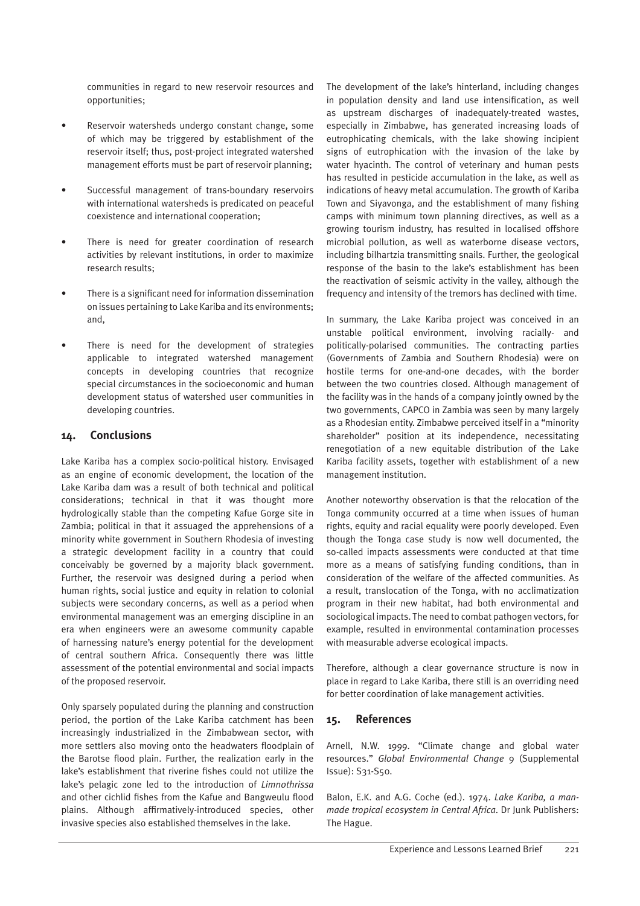communities in regard to new reservoir resources and opportunities;

- Reservoir watersheds undergo constant change, some of which may be triggered by establishment of the reservoir itself; thus, post-project integrated watershed management efforts must be part of reservoir planning;
- Successful management of trans-boundary reservoirs with international watersheds is predicated on peaceful coexistence and international cooperation;
- There is need for greater coordination of research activities by relevant institutions, in order to maximize research results;
- There is a significant need for information dissemination on issues pertaining to Lake Kariba and its environments; and,
- There is need for the development of strategies applicable to integrated watershed management concepts in developing countries that recognize special circumstances in the socioeconomic and human development status of watershed user communities in developing countries.

# **14. Conclusions**

Lake Kariba has a complex socio-political history. Envisaged as an engine of economic development, the location of the Lake Kariba dam was a result of both technical and political considerations; technical in that it was thought more hydrologically stable than the competing Kafue Gorge site in Zambia; political in that it assuaged the apprehensions of a minority white government in Southern Rhodesia of investing a strategic development facility in a country that could conceivably be governed by a majority black government. Further, the reservoir was designed during a period when human rights, social justice and equity in relation to colonial subjects were secondary concerns, as well as a period when environmental management was an emerging discipline in an era when engineers were an awesome community capable of harnessing nature's energy potential for the development of central southern Africa. Consequently there was little assessment of the potential environmental and social impacts of the proposed reservoir.

Only sparsely populated during the planning and construction period, the portion of the Lake Kariba catchment has been increasingly industrialized in the Zimbabwean sector, with more settlers also moving onto the headwaters floodplain of the Barotse flood plain. Further, the realization early in the lake's establishment that riverine fishes could not utilize the lake's pelagic zone led to the introduction of *Limnothrissa* and other cichlid fishes from the Kafue and Bangweulu flood plains. Although affirmatively-introduced species, other invasive species also established themselves in the lake.

The development of the lake's hinterland, including changes in population density and land use intensification, as well as upstream discharges of inadequately-treated wastes, especially in Zimbabwe, has generated increasing loads of eutrophicating chemicals, with the lake showing incipient signs of eutrophication with the invasion of the lake by water hyacinth. The control of veterinary and human pests has resulted in pesticide accumulation in the lake, as well as indications of heavy metal accumulation. The growth of Kariba Town and Siyavonga, and the establishment of many fishing camps with minimum town planning directives, as well as a growing tourism industry, has resulted in localised offshore microbial pollution, as well as waterborne disease vectors, including bilhartzia transmitting snails. Further, the geological response of the basin to the lake's establishment has been the reactivation of seismic activity in the valley, although the frequency and intensity of the tremors has declined with time.

In summary, the Lake Kariba project was conceived in an unstable political environment, involving racially- and politically-polarised communities. The contracting parties (Governments of Zambia and Southern Rhodesia) were on hostile terms for one-and-one decades, with the border between the two countries closed. Although management of the facility was in the hands of a company jointly owned by the two governments, CAPCO in Zambia was seen by many largely as a Rhodesian entity. Zimbabwe perceived itself in a "minority shareholder" position at its independence, necessitating renegotiation of a new equitable distribution of the Lake Kariba facility assets, together with establishment of a new management institution.

Another noteworthy observation is that the relocation of the Tonga community occurred at a time when issues of human rights, equity and racial equality were poorly developed. Even though the Tonga case study is now well documented, the so-called impacts assessments were conducted at that time more as a means of satisfying funding conditions, than in consideration of the welfare of the affected communities. As a result, translocation of the Tonga, with no acclimatization program in their new habitat, had both environmental and sociological impacts. The need to combat pathogen vectors, for example, resulted in environmental contamination processes with measurable adverse ecological impacts.

Therefore, although a clear governance structure is now in place in regard to Lake Kariba, there still is an overriding need for better coordination of lake management activities.

# **15. References**

Arnell, N.W. 1999. "Climate change and global water resources." *Global Environmental Change* 9 (Supplemental Issue): S31-S50.

Balon, E.K. and A.G. Coche (ed.). 1974. *Lake Kariba, a manmade tropical ecosystem in Central Africa*. Dr Junk Publishers: The Hague.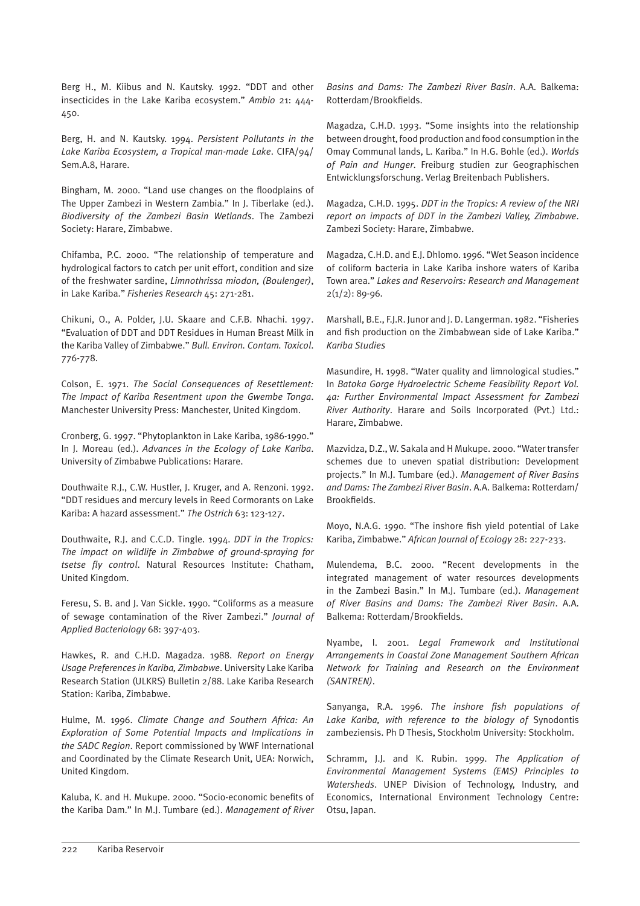Berg H., M. Kiibus and N. Kautsky. 1992. "DDT and other insecticides in the Lake Kariba ecosystem." *Ambio* 21: 444- 450.

Berg, H. and N. Kautsky. 1994. *Persistent Pollutants in the Lake Kariba Ecosystem, a Tropical man-made Lake*. CIFA/94/ Sem.A.8, Harare.

Bingham, M. 2000. "Land use changes on the floodplains of The Upper Zambezi in Western Zambia." In J. Tiberlake (ed.). *Biodiversity of the Zambezi Basin Wetlands*. The Zambezi Society: Harare, Zimbabwe.

Chifamba, P.C. 2000. "The relationship of temperature and hydrological factors to catch per unit effort, condition and size of the freshwater sardine, *Limnothrissa miodon, (Boulenger)*, in Lake Kariba." *Fisheries Research* 45: 271-281.

Chikuni, O., A. Polder, J.U. Skaare and C.F.B. Nhachi. 1997. "Evaluation of DDT and DDT Residues in Human Breast Milk in the Kariba Valley of Zimbabwe." *Bull. Environ. Contam. Toxicol*. 776-778.

Colson, E. 1971. *The Social Consequences of Resettlement: The Impact of Kariba Resentment upon the Gwembe Tonga*. Manchester University Press: Manchester, United Kingdom.

Cronberg, G. 1997. "Phytoplankton in Lake Kariba, 1986-1990." In J. Moreau (ed.). *Advances in the Ecology of Lake Kariba*. University of Zimbabwe Publications: Harare.

Douthwaite R.J., C.W. Hustler, J. Kruger, and A. Renzoni. 1992. "DDT residues and mercury levels in Reed Cormorants on Lake Kariba: A hazard assessment." *The Ostrich* 63: 123-127.

Douthwaite, R.J. and C.C.D. Tingle. 1994. *DDT in the Tropics: The impact on wildlife in Zimbabwe of ground-spraying for tsetse fly control*. Natural Resources Institute: Chatham, United Kingdom.

Feresu, S. B. and J. Van Sickle. 1990. "Coliforms as a measure of sewage contamination of the River Zambezi." *Journal of Applied Bacteriology* 68: 397-403.

Hawkes, R. and C.H.D. Magadza. 1988. *Report on Energy Usage Preferences in Kariba, Zimbabwe*. University Lake Kariba Research Station (ULKRS) Bulletin 2/88. Lake Kariba Research Station: Kariba, Zimbabwe.

Hulme, M. 1996. *Climate Change and Southern Africa: An Exploration of Some Potential Impacts and Implications in the SADC Region*. Report commissioned by WWF International and Coordinated by the Climate Research Unit, UEA: Norwich, United Kingdom.

Kaluba, K. and H. Mukupe. 2000. "Socio-economic benefits of the Kariba Dam." In M.J. Tumbare (ed.). *Management of River*  *Basins and Dams: The Zambezi River Basin*. A.A. Balkema: Rotterdam/Brookfields.

Magadza, C.H.D. 1993. "Some insights into the relationship between drought, food production and food consumption in the Omay Communal lands, L. Kariba." In H.G. Bohle (ed.). *Worlds of Pain and Hunger*. Freiburg studien zur Geographischen Entwicklungsforschung. Verlag Breitenbach Publishers.

Magadza, C.H.D. 1995. *DDT in the Tropics: A review of the NRI report on impacts of DDT in the Zambezi Valley, Zimbabwe*. Zambezi Society: Harare, Zimbabwe.

Magadza, C.H.D. and E.J. Dhlomo. 1996. "Wet Season incidence of coliform bacteria in Lake Kariba inshore waters of Kariba Town area." *Lakes and Reservoirs: Research and Management* 2(1/2): 89-96.

Marshall, B.E., F.J.R. Junor and J. D. Langerman. 1982. "Fisheries and fish production on the Zimbabwean side of Lake Kariba." *Kariba Studies*

Masundire, H. 1998. "Water quality and limnological studies." In *Batoka Gorge Hydroelectric Scheme Feasibility Report Vol. 4a: Further Environmental Impact Assessment for Zambezi River Authority*. Harare and Soils Incorporated (Pvt.) Ltd.: Harare, Zimbabwe.

Mazvidza, D.Z., W. Sakala and H Mukupe. 2000. "Water transfer schemes due to uneven spatial distribution: Development projects." In M.J. Tumbare (ed.). *Management of River Basins and Dams: The Zambezi River Basin*. A.A. Balkema: Rotterdam/ Brookfields.

Moyo, N.A.G. 1990. "The inshore fish yield potential of Lake Kariba, Zimbabwe." *African Journal of Ecology* 28: 227-233.

Mulendema, B.C. 2000. "Recent developments in the integrated management of water resources developments in the Zambezi Basin." In M.J. Tumbare (ed.). *Management of River Basins and Dams: The Zambezi River Basin*. A.A. Balkema: Rotterdam/Brookfields.

Nyambe, I. 2001. *Legal Framework and Institutional Arrangements in Coastal Zone Management Southern African Network for Training and Research on the Environment (SANTREN)*.

Sanyanga, R.A. 1996. *The inshore fish populations of Lake Kariba, with reference to the biology of* Synodontis zambeziensis. Ph D Thesis, Stockholm University: Stockholm.

Schramm, J.J. and K. Rubin. 1999. *The Application of Environmental Management Systems (EMS) Principles to Watersheds*. UNEP Division of Technology, Industry, and Economics, International Environment Technology Centre: Otsu, Japan.